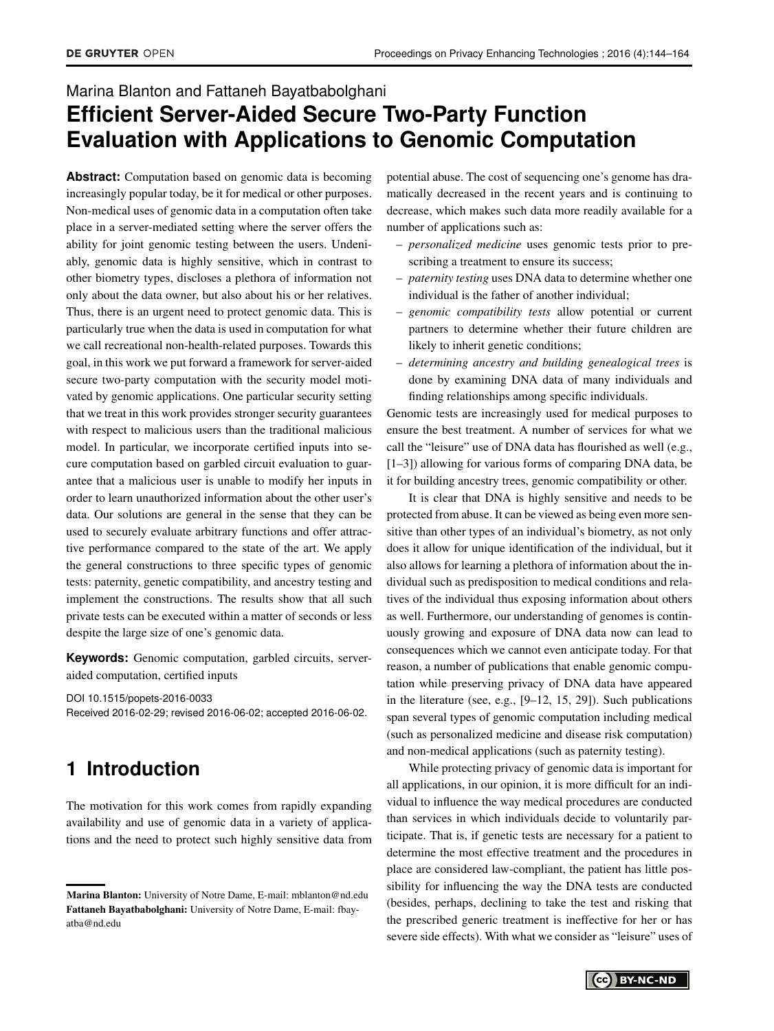# <span id="page-0-0"></span>Marina Blanton and Fattaneh Bayatbabolghani **Efficient Server-Aided Secure Two-Party Function Evaluation with Applications to Genomic Computation**

**Abstract:** Computation based on genomic data is becoming increasingly popular today, be it for medical or other purposes. Non-medical uses of genomic data in a computation often take place in a server-mediated setting where the server offers the ability for joint genomic testing between the users. Undeniably, genomic data is highly sensitive, which in contrast to other biometry types, discloses a plethora of information not only about the data owner, but also about his or her relatives. Thus, there is an urgent need to protect genomic data. This is particularly true when the data is used in computation for what we call recreational non-health-related purposes. Towards this goal, in this work we put forward a framework for server-aided secure two-party computation with the security model motivated by genomic applications. One particular security setting that we treat in this work provides stronger security guarantees with respect to malicious users than the traditional malicious model. In particular, we incorporate certified inputs into secure computation based on garbled circuit evaluation to guarantee that a malicious user is unable to modify her inputs in order to learn unauthorized information about the other user's data. Our solutions are general in the sense that they can be used to securely evaluate arbitrary functions and offer attractive performance compared to the state of the art. We apply the general constructions to three specific types of genomic tests: paternity, genetic compatibility, and ancestry testing and implement the constructions. The results show that all such private tests can be executed within a matter of seconds or less despite the large size of one's genomic data.

**Keywords:** Genomic computation, garbled circuits, serveraided computation, certified inputs

DOI 10.1515/popets-2016-0033

Received 2016-02-29; revised 2016-06-02; accepted 2016-06-02.

# **1 Introduction**

The motivation for this work comes from rapidly expanding availability and use of genomic data in a variety of applications and the need to protect such highly sensitive data from

potential abuse. The cost of sequencing one's genome has dramatically decreased in the recent years and is continuing to decrease, which makes such data more readily available for a number of applications such as:

- *personalized medicine* uses genomic tests prior to prescribing a treatment to ensure its success;
- *paternity testing* uses DNA data to determine whether one individual is the father of another individual;
- *genomic compatibility tests* allow potential or current partners to determine whether their future children are likely to inherit genetic conditions;
- *determining ancestry and building genealogical trees* is done by examining DNA data of many individuals and finding relationships among specific individuals.

Genomic tests are increasingly used for medical purposes to ensure the best treatment. A number of services for what we call the "leisure" use of DNA data has flourished as well (e.g., [\[1–](#page-16-0)[3\]](#page-16-1)) allowing for various forms of comparing DNA data, be it for building ancestry trees, genomic compatibility or other.

It is clear that DNA is highly sensitive and needs to be protected from abuse. It can be viewed as being even more sensitive than other types of an individual's biometry, as not only does it allow for unique identification of the individual, but it also allows for learning a plethora of information about the individual such as predisposition to medical conditions and relatives of the individual thus exposing information about others as well. Furthermore, our understanding of genomes is continuously growing and exposure of DNA data now can lead to consequences which we cannot even anticipate today. For that reason, a number of publications that enable genomic computation while preserving privacy of DNA data have appeared in the literature (see, e.g., [\[9](#page-16-2)[–12,](#page-17-0) [15,](#page-17-1) [29\]](#page-17-2)). Such publications span several types of genomic computation including medical (such as personalized medicine and disease risk computation) and non-medical applications (such as paternity testing).

While protecting privacy of genomic data is important for all applications, in our opinion, it is more difficult for an individual to influence the way medical procedures are conducted than services in which individuals decide to voluntarily participate. That is, if genetic tests are necessary for a patient to determine the most effective treatment and the procedures in place are considered law-compliant, the patient has little possibility for influencing the way the DNA tests are conducted (besides, perhaps, declining to take the test and risking that the prescribed generic treatment is ineffective for her or has severe side effects). With what we consider as "leisure" uses of



Marina Blanton: University of Notre Dame, E-mail: mblanton@nd.edu Fattaneh Bayatbabolghani: University of Notre Dame, E-mail: fbayatba@nd.edu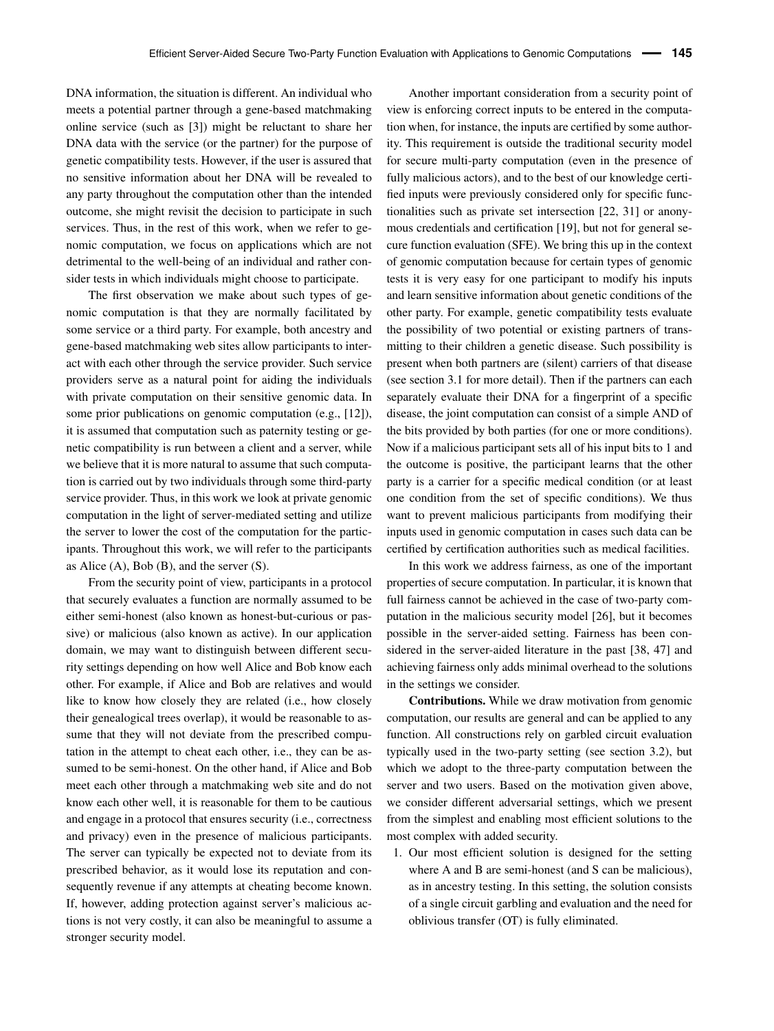DNA information, the situation is different. An individual who meets a potential partner through a gene-based matchmaking online service (such as [\[3\]](#page-16-1)) might be reluctant to share her DNA data with the service (or the partner) for the purpose of genetic compatibility tests. However, if the user is assured that no sensitive information about her DNA will be revealed to any party throughout the computation other than the intended outcome, she might revisit the decision to participate in such services. Thus, in the rest of this work, when we refer to genomic computation, we focus on applications which are not detrimental to the well-being of an individual and rather consider tests in which individuals might choose to participate.

The first observation we make about such types of genomic computation is that they are normally facilitated by some service or a third party. For example, both ancestry and gene-based matchmaking web sites allow participants to interact with each other through the service provider. Such service providers serve as a natural point for aiding the individuals with private computation on their sensitive genomic data. In some prior publications on genomic computation (e.g., [\[12\]](#page-17-0)), it is assumed that computation such as paternity testing or genetic compatibility is run between a client and a server, while we believe that it is more natural to assume that such computation is carried out by two individuals through some third-party service provider. Thus, in this work we look at private genomic computation in the light of server-mediated setting and utilize the server to lower the cost of the computation for the participants. Throughout this work, we will refer to the participants as Alice  $(A)$ , Bob  $(B)$ , and the server  $(S)$ .

From the security point of view, participants in a protocol that securely evaluates a function are normally assumed to be either semi-honest (also known as honest-but-curious or passive) or malicious (also known as active). In our application domain, we may want to distinguish between different security settings depending on how well Alice and Bob know each other. For example, if Alice and Bob are relatives and would like to know how closely they are related (i.e., how closely their genealogical trees overlap), it would be reasonable to assume that they will not deviate from the prescribed computation in the attempt to cheat each other, i.e., they can be assumed to be semi-honest. On the other hand, if Alice and Bob meet each other through a matchmaking web site and do not know each other well, it is reasonable for them to be cautious and engage in a protocol that ensures security (i.e., correctness and privacy) even in the presence of malicious participants. The server can typically be expected not to deviate from its prescribed behavior, as it would lose its reputation and consequently revenue if any attempts at cheating become known. If, however, adding protection against server's malicious actions is not very costly, it can also be meaningful to assume a stronger security model.

Another important consideration from a security point of view is enforcing correct inputs to be entered in the computation when, for instance, the inputs are certified by some authority. This requirement is outside the traditional security model for secure multi-party computation (even in the presence of fully malicious actors), and to the best of our knowledge certified inputs were previously considered only for specific functionalities such as private set intersection [\[22,](#page-17-3) [31\]](#page-18-0) or anonymous credentials and certification [\[19\]](#page-17-4), but not for general secure function evaluation (SFE). We bring this up in the context of genomic computation because for certain types of genomic tests it is very easy for one participant to modify his inputs and learn sensitive information about genetic conditions of the other party. For example, genetic compatibility tests evaluate the possibility of two potential or existing partners of transmitting to their children a genetic disease. Such possibility is present when both partners are (silent) carriers of that disease (see section [3.1](#page-4-0) for more detail). Then if the partners can each separately evaluate their DNA for a fingerprint of a specific disease, the joint computation can consist of a simple AND of the bits provided by both parties (for one or more conditions). Now if a malicious participant sets all of his input bits to 1 and the outcome is positive, the participant learns that the other party is a carrier for a specific medical condition (or at least one condition from the set of specific conditions). We thus want to prevent malicious participants from modifying their inputs used in genomic computation in cases such data can be certified by certification authorities such as medical facilities.

In this work we address fairness, as one of the important properties of secure computation. In particular, it is known that full fairness cannot be achieved in the case of two-party computation in the malicious security model [\[26\]](#page-17-5), but it becomes possible in the server-aided setting. Fairness has been considered in the server-aided literature in the past [\[38,](#page-18-1) [47\]](#page-18-2) and achieving fairness only adds minimal overhead to the solutions in the settings we consider.

Contributions. While we draw motivation from genomic computation, our results are general and can be applied to any function. All constructions rely on garbled circuit evaluation typically used in the two-party setting (see section [3.2\)](#page-5-0), but which we adopt to the three-party computation between the server and two users. Based on the motivation given above, we consider different adversarial settings, which we present from the simplest and enabling most efficient solutions to the most complex with added security.

1. Our most efficient solution is designed for the setting where A and B are semi-honest (and S can be malicious), as in ancestry testing. In this setting, the solution consists of a single circuit garbling and evaluation and the need for oblivious transfer (OT) is fully eliminated.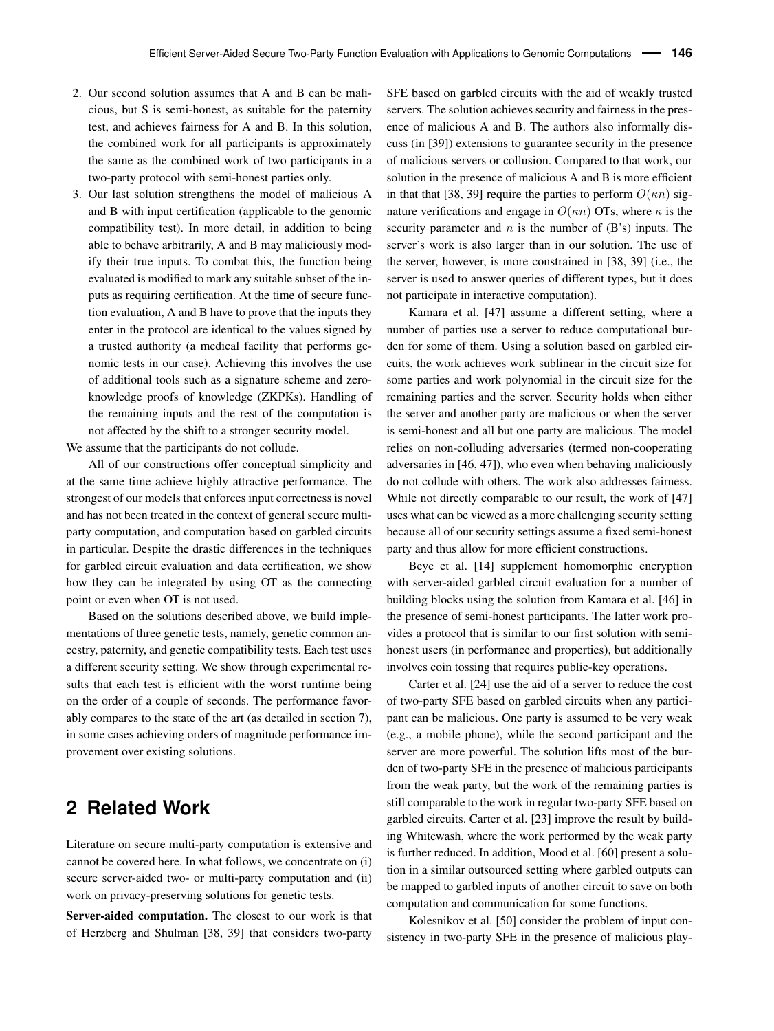- 2. Our second solution assumes that A and B can be malicious, but S is semi-honest, as suitable for the paternity test, and achieves fairness for A and B. In this solution, the combined work for all participants is approximately the same as the combined work of two participants in a two-party protocol with semi-honest parties only.
- 3. Our last solution strengthens the model of malicious A and B with input certification (applicable to the genomic compatibility test). In more detail, in addition to being able to behave arbitrarily, A and B may maliciously modify their true inputs. To combat this, the function being evaluated is modified to mark any suitable subset of the inputs as requiring certification. At the time of secure function evaluation, A and B have to prove that the inputs they enter in the protocol are identical to the values signed by a trusted authority (a medical facility that performs genomic tests in our case). Achieving this involves the use of additional tools such as a signature scheme and zeroknowledge proofs of knowledge (ZKPKs). Handling of the remaining inputs and the rest of the computation is not affected by the shift to a stronger security model.

We assume that the participants do not collude.

All of our constructions offer conceptual simplicity and at the same time achieve highly attractive performance. The strongest of our models that enforces input correctness is novel and has not been treated in the context of general secure multiparty computation, and computation based on garbled circuits in particular. Despite the drastic differences in the techniques for garbled circuit evaluation and data certification, we show how they can be integrated by using OT as the connecting point or even when OT is not used.

Based on the solutions described above, we build implementations of three genetic tests, namely, genetic common ancestry, paternity, and genetic compatibility tests. Each test uses a different security setting. We show through experimental results that each test is efficient with the worst runtime being on the order of a couple of seconds. The performance favorably compares to the state of the art (as detailed in section [7\)](#page-12-0), in some cases achieving orders of magnitude performance improvement over existing solutions.

## **2 Related Work**

Literature on secure multi-party computation is extensive and cannot be covered here. In what follows, we concentrate on (i) secure server-aided two- or multi-party computation and (ii) work on privacy-preserving solutions for genetic tests.

Server-aided computation. The closest to our work is that of Herzberg and Shulman [\[38,](#page-18-1) [39\]](#page-18-3) that considers two-party

SFE based on garbled circuits with the aid of weakly trusted servers. The solution achieves security and fairness in the presence of malicious A and B. The authors also informally discuss (in [\[39\]](#page-18-3)) extensions to guarantee security in the presence of malicious servers or collusion. Compared to that work, our solution in the presence of malicious A and B is more efficient in that that [\[38,](#page-18-1) [39\]](#page-18-3) require the parties to perform  $O(\kappa n)$  signature verifications and engage in  $O(\kappa n)$  OTs, where  $\kappa$  is the security parameter and  $n$  is the number of  $(B's)$  inputs. The server's work is also larger than in our solution. The use of the server, however, is more constrained in [\[38,](#page-18-1) [39\]](#page-18-3) (i.e., the server is used to answer queries of different types, but it does not participate in interactive computation).

Kamara et al. [\[47\]](#page-18-2) assume a different setting, where a number of parties use a server to reduce computational burden for some of them. Using a solution based on garbled circuits, the work achieves work sublinear in the circuit size for some parties and work polynomial in the circuit size for the remaining parties and the server. Security holds when either the server and another party are malicious or when the server is semi-honest and all but one party are malicious. The model relies on non-colluding adversaries (termed non-cooperating adversaries in [\[46,](#page-18-4) [47\]](#page-18-2)), who even when behaving maliciously do not collude with others. The work also addresses fairness. While not directly comparable to our result, the work of [\[47\]](#page-18-2) uses what can be viewed as a more challenging security setting because all of our security settings assume a fixed semi-honest party and thus allow for more efficient constructions.

Beye et al. [\[14\]](#page-17-6) supplement homomorphic encryption with server-aided garbled circuit evaluation for a number of building blocks using the solution from Kamara et al. [\[46\]](#page-18-4) in the presence of semi-honest participants. The latter work provides a protocol that is similar to our first solution with semihonest users (in performance and properties), but additionally involves coin tossing that requires public-key operations.

Carter et al. [\[24\]](#page-17-7) use the aid of a server to reduce the cost of two-party SFE based on garbled circuits when any participant can be malicious. One party is assumed to be very weak (e.g., a mobile phone), while the second participant and the server are more powerful. The solution lifts most of the burden of two-party SFE in the presence of malicious participants from the weak party, but the work of the remaining parties is still comparable to the work in regular two-party SFE based on garbled circuits. Carter et al. [\[23\]](#page-17-8) improve the result by building Whitewash, where the work performed by the weak party is further reduced. In addition, Mood et al. [\[60\]](#page-18-5) present a solution in a similar outsourced setting where garbled outputs can be mapped to garbled inputs of another circuit to save on both computation and communication for some functions.

Kolesnikov et al. [\[50\]](#page-18-6) consider the problem of input consistency in two-party SFE in the presence of malicious play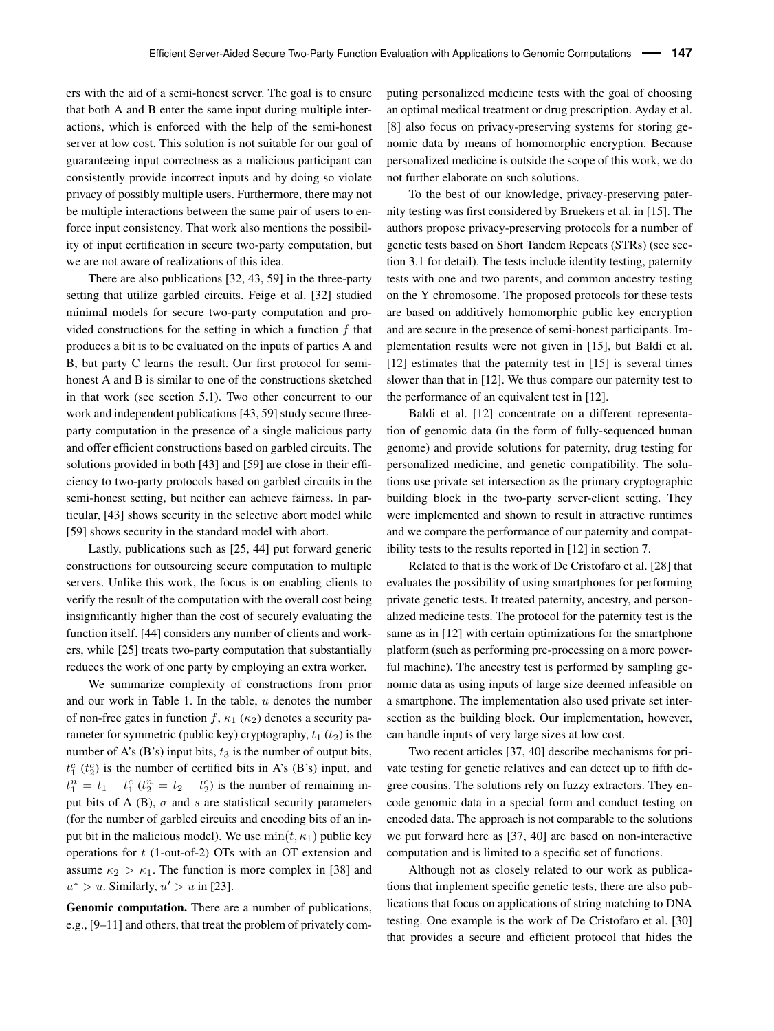ers with the aid of a semi-honest server. The goal is to ensure that both A and B enter the same input during multiple interactions, which is enforced with the help of the semi-honest server at low cost. This solution is not suitable for our goal of guaranteeing input correctness as a malicious participant can consistently provide incorrect inputs and by doing so violate privacy of possibly multiple users. Furthermore, there may not be multiple interactions between the same pair of users to enforce input consistency. That work also mentions the possibility of input certification in secure two-party computation, but we are not aware of realizations of this idea.

There are also publications [\[32,](#page-18-7) [43,](#page-18-8) [59\]](#page-18-9) in the three-party setting that utilize garbled circuits. Feige et al. [\[32\]](#page-18-7) studied minimal models for secure two-party computation and provided constructions for the setting in which a function *f* that produces a bit is to be evaluated on the inputs of parties A and B, but party C learns the result. Our first protocol for semihonest A and B is similar to one of the constructions sketched in that work (see section [5.1\)](#page-7-0). Two other concurrent to our work and independent publications [\[43,](#page-18-8) [59\]](#page-18-9) study secure threeparty computation in the presence of a single malicious party and offer efficient constructions based on garbled circuits. The solutions provided in both [\[43\]](#page-18-8) and [\[59\]](#page-18-9) are close in their efficiency to two-party protocols based on garbled circuits in the semi-honest setting, but neither can achieve fairness. In particular, [\[43\]](#page-18-8) shows security in the selective abort model while [\[59\]](#page-18-9) shows security in the standard model with abort.

Lastly, publications such as [\[25,](#page-17-9) [44\]](#page-18-10) put forward generic constructions for outsourcing secure computation to multiple servers. Unlike this work, the focus is on enabling clients to verify the result of the computation with the overall cost being insignificantly higher than the cost of securely evaluating the function itself. [\[44\]](#page-18-10) considers any number of clients and workers, while [\[25\]](#page-17-9) treats two-party computation that substantially reduces the work of one party by employing an extra worker.

We summarize complexity of constructions from prior and our work in Table [1.](#page-4-1) In the table, *u* denotes the number of non-free gates in function  $f$ ,  $\kappa_1$  ( $\kappa_2$ ) denotes a security parameter for symmetric (public key) cryptography,  $t_1$  ( $t_2$ ) is the number of A's  $(B's)$  input bits,  $t_3$  is the number of output bits,  $t_1^c$  ( $t_2^c$ ) is the number of certified bits in A's (B's) input, and  $t_1^n = t_1 - t_1^c$  ( $t_2^n = t_2 - t_2^c$ ) is the number of remaining input bits of A (B),  $\sigma$  and *s* are statistical security parameters (for the number of garbled circuits and encoding bits of an input bit in the malicious model). We use  $min(t, \kappa_1)$  public key operations for *t* (1-out-of-2) OTs with an OT extension and assume  $\kappa_2 > \kappa_1$ . The function is more complex in [\[38\]](#page-18-1) and  $u^*$  > *u*. Similarly,  $u'$  > *u* in [\[23\]](#page-17-8).

Genomic computation. There are a number of publications, e.g., [\[9–](#page-16-2)[11\]](#page-16-3) and others, that treat the problem of privately computing personalized medicine tests with the goal of choosing an optimal medical treatment or drug prescription. Ayday et al. [\[8\]](#page-16-4) also focus on privacy-preserving systems for storing genomic data by means of homomorphic encryption. Because personalized medicine is outside the scope of this work, we do not further elaborate on such solutions.

To the best of our knowledge, privacy-preserving paternity testing was first considered by Bruekers et al. in [\[15\]](#page-17-1). The authors propose privacy-preserving protocols for a number of genetic tests based on Short Tandem Repeats (STRs) (see section [3.1](#page-4-0) for detail). The tests include identity testing, paternity tests with one and two parents, and common ancestry testing on the Y chromosome. The proposed protocols for these tests are based on additively homomorphic public key encryption and are secure in the presence of semi-honest participants. Implementation results were not given in [\[15\]](#page-17-1), but Baldi et al. [\[12\]](#page-17-0) estimates that the paternity test in [\[15\]](#page-17-1) is several times slower than that in [\[12\]](#page-17-0). We thus compare our paternity test to the performance of an equivalent test in [\[12\]](#page-17-0).

Baldi et al. [\[12\]](#page-17-0) concentrate on a different representation of genomic data (in the form of fully-sequenced human genome) and provide solutions for paternity, drug testing for personalized medicine, and genetic compatibility. The solutions use private set intersection as the primary cryptographic building block in the two-party server-client setting. They were implemented and shown to result in attractive runtimes and we compare the performance of our paternity and compatibility tests to the results reported in [\[12\]](#page-17-0) in section [7.](#page-12-0)

Related to that is the work of De Cristofaro et al. [\[28\]](#page-17-10) that evaluates the possibility of using smartphones for performing private genetic tests. It treated paternity, ancestry, and personalized medicine tests. The protocol for the paternity test is the same as in [\[12\]](#page-17-0) with certain optimizations for the smartphone platform (such as performing pre-processing on a more powerful machine). The ancestry test is performed by sampling genomic data as using inputs of large size deemed infeasible on a smartphone. The implementation also used private set intersection as the building block. Our implementation, however, can handle inputs of very large sizes at low cost.

Two recent articles [\[37,](#page-18-11) [40\]](#page-18-12) describe mechanisms for private testing for genetic relatives and can detect up to fifth degree cousins. The solutions rely on fuzzy extractors. They encode genomic data in a special form and conduct testing on encoded data. The approach is not comparable to the solutions we put forward here as [\[37,](#page-18-11) [40\]](#page-18-12) are based on non-interactive computation and is limited to a specific set of functions.

Although not as closely related to our work as publications that implement specific genetic tests, there are also publications that focus on applications of string matching to DNA testing. One example is the work of De Cristofaro et al. [\[30\]](#page-17-11) that provides a secure and efficient protocol that hides the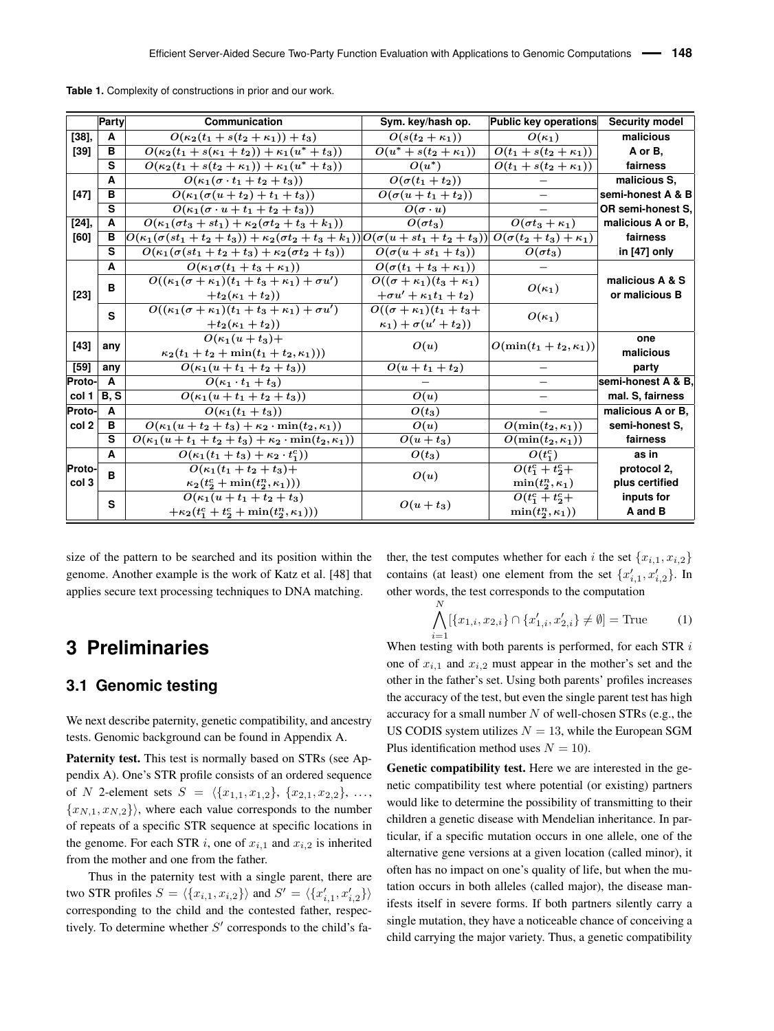|          | <b>Party</b>            | Communication                                                                                                           | Sym. key/hash op.                        | Public key operations               | <b>Security model</b> |
|----------|-------------------------|-------------------------------------------------------------------------------------------------------------------------|------------------------------------------|-------------------------------------|-----------------------|
| $[38]$ , | A                       | $O(\kappa_2(t_1 + s(t_2 + \kappa_1)) + t_3)$                                                                            | $O(s(t_2 + \kappa_1))$                   | $O(\kappa_1)$                       | malicious             |
| $[39]$   | в                       | $O(\kappa_2(t_1 + s(\kappa_1 + t_2)) + \kappa_1(u^* + t_3))$                                                            | $O(u^* + s(t_2 + \kappa_1))$             | $\overline{O(t_1}+s(t_2+\kappa_1))$ | A or B.               |
|          | $\overline{\mathbf{s}}$ | $O(\kappa_2(t_1 + s(t_2 + \kappa_1)) + \kappa_1(u^* + t_3))$                                                            | $O(u^*)$                                 | $O(t_1 + s(t_2 + \kappa_1))$        | fairness              |
|          | A                       | $O(\kappa_1(\sigma \cdot t_1 + t_2 + t_3))$                                                                             | $O(\sigma(t_1+t_2))$                     |                                     | malicious S.          |
| [47]     | B                       | $O(\kappa_1(\sigma(u+t_2)+t_1+t_3))$                                                                                    | $O(\sigma(u + t_1 + t_2))$               |                                     | semi-honest A & B     |
|          | $\overline{\mathbf{s}}$ | $O(\kappa_1(\sigma \cdot u + t_1 + t_2 + t_3))$                                                                         | $O(\sigma \cdot u)$                      |                                     | OR semi-honest S,     |
| $[24]$ , | A                       | $O(\kappa_1(\sigma t_3 + s t_1) + \kappa_2(\sigma t_2 + t_3 + k_1))$                                                    | $O(\sigma t_3)$                          | $O(\sigma t_3 + \kappa_1)$          | malicious A or B.     |
| [60]     | B                       | $O(\kappa_1(\sigma(st_1+t_2+t_3))+\kappa_2(\sigma t_2+t_3+k_1)) O(\sigma(u+st_1+t_2+t_3)) O(\sigma(t_2+t_3)+\kappa_1) $ |                                          |                                     | fairness              |
|          | S                       | $O(\kappa_1(\sigma(st_1+t_2+t_3)+\kappa_2(\sigma t_2+t_3))$                                                             | $O(\sigma(u+st_1+ts))$                   | $O(\sigma t_3)$                     | in [47] only          |
|          | A                       | $O(\kappa_1\sigma(t_1+t_3+\kappa_1))$                                                                                   | $O(\sigma(t_1+t_3+\kappa_1))$            |                                     |                       |
|          | B                       | $O((\kappa_1(\sigma+\kappa_1)(t_1+t_3+\kappa_1)+\sigma u')$                                                             | $O((\sigma + \kappa_1)(t_3 + \kappa_1))$ | $O(\kappa_1)$                       | malicious A & S       |
| $[23]$   |                         | $+t_2(\kappa_1+t_2))$                                                                                                   | $+\sigma u' + \kappa_1 t_1 + t_2$        |                                     | or malicious B        |
|          | S                       | $O((\kappa_1(\sigma + \kappa_1)(t_1 + t_3 + \kappa_1) + \sigma u')$                                                     | $O((\sigma + \kappa_1)(t_1 + t_3 +$      | $O(\kappa_1)$                       |                       |
|          |                         | $+t_2(\kappa_1+t_2))$                                                                                                   | $\kappa_1)+\sigma(u'+t_2))$              |                                     |                       |
| [43]     | any                     | $O(\kappa_1(u+t_3)+$                                                                                                    | O(u)                                     | $O(\min(t_1 + t_2, \kappa_1))$      | one                   |
|          |                         | $\kappa_2(t_1+t_2+\min(t_1+t_2,\kappa_1)))$                                                                             |                                          |                                     | malicious             |
| $[59]$   | any                     | $\overline{O(\kappa_1(u+t_1+t_2+t_3))}$                                                                                 | $O(u + t_1 + t_2)$                       |                                     | party                 |
| Proto-   | A                       | $O(\kappa_1 \cdot t_1 + t_3)$                                                                                           |                                          |                                     | semi-honest A & B,    |
| col 1    | B, S                    | $O(\kappa_1(u + t_1 + t_2 + t_3))$                                                                                      | O(u)                                     |                                     | mal. S, fairness      |
| Proto-   | A                       | $O(\kappa_1(t_1 + t_3))$                                                                                                | $O(t_3)$                                 |                                     | malicious A or B.     |
| col 2    | B                       | $O(\kappa_1(u+t_2+t_3)+\kappa_2\cdot\min(t_2,\kappa_1))$                                                                | O(u)                                     | $O(\min(t_2,\kappa_1))$             | semi-honest S.        |
|          | $\overline{s}$          | $O(\kappa_1(u + t_1 + t_2 + t_3) + \kappa_2 \cdot \min(t_2, \kappa_1))$                                                 | $O(u+t_3)$                               | $O(\min(t_2,\kappa_1))$             | fairness              |
|          | A                       | $O(\kappa_1(t_1+t_3)+\kappa_2\cdot t_1^c))$                                                                             | $O(t_3)$                                 | $O(t_1^c)$                          | as in                 |
| Proto-   | B                       | $O(\kappa_1(t_1+t_2+t_3)+$                                                                                              | O(u)                                     | $\overline{O(t_1^c + t_2^c +)}$     | protocol 2,           |
| col 3    |                         | $\kappa_2(t_2^c+\min(t_2^n,\kappa_1)))$                                                                                 |                                          | $\min(t_2^n, \kappa_1)$             | plus certified        |
|          | S                       | $O(\kappa_1(u+t_1+t_2+t_3))$                                                                                            | $O(u+t_3)$                               | $O(t_1^c + t_2^c +$                 | inputs for            |
|          |                         | $+\kappa_2(t_1^c+t_2^c+\min(t_2^n,\kappa_1)))$                                                                          |                                          | $\min(t_2^n, \kappa_1))$            | A and B               |

<span id="page-4-1"></span>**Table 1.** Complexity of constructions in prior and our work.

size of the pattern to be searched and its position within the genome. Another example is the work of Katz et al. [\[48\]](#page-18-13) that applies secure text processing techniques to DNA matching.

### **3 Preliminaries**

#### <span id="page-4-0"></span>**3.1 Genomic testing**

We next describe paternity, genetic compatibility, and ancestry tests. Genomic background can be found in Appendix [A.](#page-18-14)

Paternity test. This test is normally based on STRs (see Appendix [A\)](#page-18-14). One's STR profile consists of an ordered sequence of *N* 2-element sets  $S = \langle \{x_{1,1}, x_{1,2}\}, \{x_{2,1}, x_{2,2}\}, \ldots,$  ${x_{N,1}, x_{N,2}}$ , where each value corresponds to the number of repeats of a specific STR sequence at specific locations in the genome. For each STR *i*, one of  $x_{i,1}$  and  $x_{i,2}$  is inherited from the mother and one from the father.

Thus in the paternity test with a single parent, there are two STR profiles  $S = \langle \{x_{i,1}, x_{i,2}\} \rangle$  and  $S' = \langle \{x'_{i,1}, x'_{i,2}\} \rangle$ corresponding to the child and the contested father, respectively. To determine whether  $S'$  corresponds to the child's father, the test computes whether for each *i* the set  $\{x_{i,1}, x_{i,2}\}$ contains (at least) one element from the set  $\{x'_{i,1}, x'_{i,2}\}\$ . In other words, the test corresponds to the computation

<span id="page-4-2"></span>
$$
\bigwedge_{i=1}^{N} [\{x_{1,i}, x_{2,i}\} \cap \{x'_{1,i}, x'_{2,i}\} \neq \emptyset] = \text{True} \tag{1}
$$

When testing with both parents is performed, for each STR *i* one of  $x_{i,1}$  and  $x_{i,2}$  must appear in the mother's set and the other in the father's set. Using both parents' profiles increases the accuracy of the test, but even the single parent test has high accuracy for a small number *N* of well-chosen STRs (e.g., the US CODIS system utilizes  $N = 13$ , while the European SGM Plus identification method uses  $N = 10$ ).

Genetic compatibility test. Here we are interested in the genetic compatibility test where potential (or existing) partners would like to determine the possibility of transmitting to their children a genetic disease with Mendelian inheritance. In particular, if a specific mutation occurs in one allele, one of the alternative gene versions at a given location (called minor), it often has no impact on one's quality of life, but when the mutation occurs in both alleles (called major), the disease manifests itself in severe forms. If both partners silently carry a single mutation, they have a noticeable chance of conceiving a child carrying the major variety. Thus, a genetic compatibility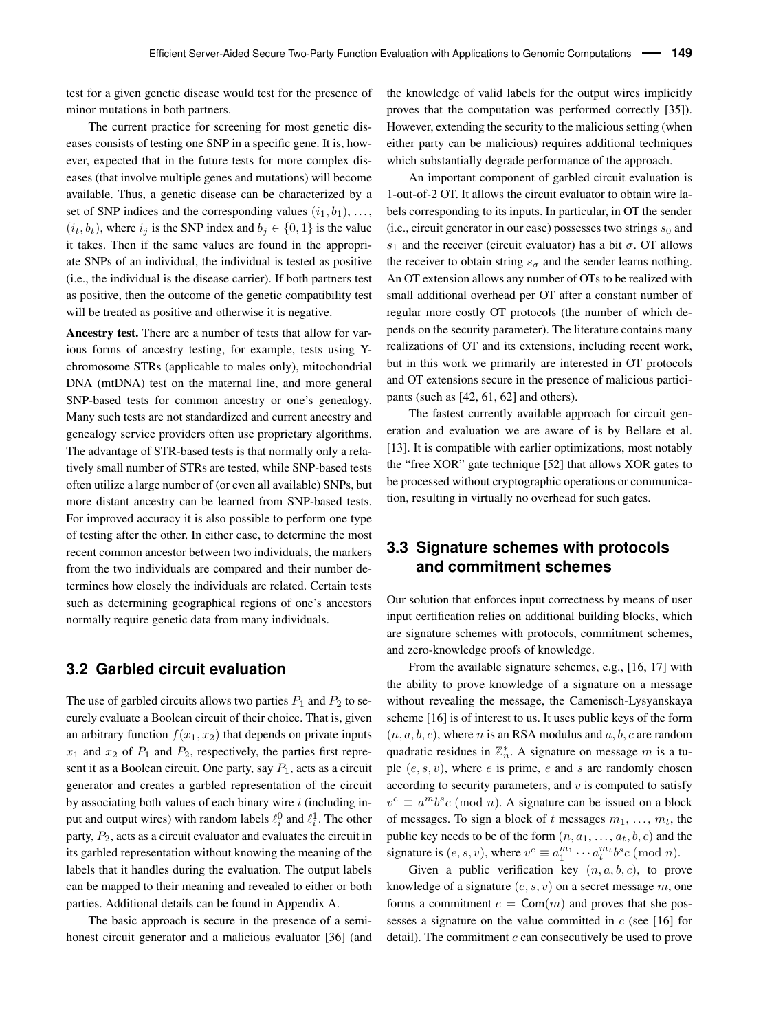test for a given genetic disease would test for the presence of minor mutations in both partners.

The current practice for screening for most genetic diseases consists of testing one SNP in a specific gene. It is, however, expected that in the future tests for more complex diseases (that involve multiple genes and mutations) will become available. Thus, a genetic disease can be characterized by a set of SNP indices and the corresponding values  $(i_1, b_1), \ldots$  $(i_t, b_t)$ , where  $i_j$  is the SNP index and  $b_j \in \{0, 1\}$  is the value it takes. Then if the same values are found in the appropriate SNPs of an individual, the individual is tested as positive (i.e., the individual is the disease carrier). If both partners test as positive, then the outcome of the genetic compatibility test will be treated as positive and otherwise it is negative.

Ancestry test. There are a number of tests that allow for various forms of ancestry testing, for example, tests using Ychromosome STRs (applicable to males only), mitochondrial DNA (mtDNA) test on the maternal line, and more general SNP-based tests for common ancestry or one's genealogy. Many such tests are not standardized and current ancestry and genealogy service providers often use proprietary algorithms. The advantage of STR-based tests is that normally only a relatively small number of STRs are tested, while SNP-based tests often utilize a large number of (or even all available) SNPs, but more distant ancestry can be learned from SNP-based tests. For improved accuracy it is also possible to perform one type of testing after the other. In either case, to determine the most recent common ancestor between two individuals, the markers from the two individuals are compared and their number determines how closely the individuals are related. Certain tests such as determining geographical regions of one's ancestors normally require genetic data from many individuals.

### <span id="page-5-0"></span>**3.2 Garbled circuit evaluation**

The use of garbled circuits allows two parties  $P_1$  and  $P_2$  to securely evaluate a Boolean circuit of their choice. That is, given an arbitrary function  $f(x_1, x_2)$  that depends on private inputs  $x_1$  and  $x_2$  of  $P_1$  and  $P_2$ , respectively, the parties first represent it as a Boolean circuit. One party, say *P*1, acts as a circuit generator and creates a garbled representation of the circuit by associating both values of each binary wire *i* (including input and output wires) with random labels  $\ell_i^0$  and  $\ell_i^1$ . The other party,  $P_2$ , acts as a circuit evaluator and evaluates the circuit in its garbled representation without knowing the meaning of the labels that it handles during the evaluation. The output labels can be mapped to their meaning and revealed to either or both parties. Additional details can be found in Appendix [A.](#page-19-0)

The basic approach is secure in the presence of a semi-honest circuit generator and a malicious evaluator [\[36\]](#page-18-15) (and the knowledge of valid labels for the output wires implicitly proves that the computation was performed correctly [\[35\]](#page-18-16)). However, extending the security to the malicious setting (when either party can be malicious) requires additional techniques which substantially degrade performance of the approach.

An important component of garbled circuit evaluation is 1-out-of-2 OT. It allows the circuit evaluator to obtain wire labels corresponding to its inputs. In particular, in OT the sender (i.e., circuit generator in our case) possesses two strings  $s_0$  and *s*<sup>1</sup> and the receiver (circuit evaluator) has a bit *σ*. OT allows the receiver to obtain string  $s_{\sigma}$  and the sender learns nothing. An OT extension allows any number of OTs to be realized with small additional overhead per OT after a constant number of regular more costly OT protocols (the number of which depends on the security parameter). The literature contains many realizations of OT and its extensions, including recent work, but in this work we primarily are interested in OT protocols and OT extensions secure in the presence of malicious participants (such as [\[42,](#page-18-17) [61,](#page-18-18) [62\]](#page-18-19) and others).

The fastest currently available approach for circuit generation and evaluation we are aware of is by Bellare et al. [\[13\]](#page-17-12). It is compatible with earlier optimizations, most notably the "free XOR" gate technique [\[52\]](#page-18-20) that allows XOR gates to be processed without cryptographic operations or communication, resulting in virtually no overhead for such gates.

### **3.3 Signature schemes with protocols and commitment schemes**

Our solution that enforces input correctness by means of user input certification relies on additional building blocks, which are signature schemes with protocols, commitment schemes, and zero-knowledge proofs of knowledge.

From the available signature schemes, e.g., [\[16,](#page-17-13) [17\]](#page-17-14) with the ability to prove knowledge of a signature on a message without revealing the message, the Camenisch-Lysyanskaya scheme [\[16\]](#page-17-13) is of interest to us. It uses public keys of the form  $(n, a, b, c)$ , where *n* is an RSA modulus and  $a, b, c$  are random quadratic residues in  $\mathbb{Z}_n^*$ . A signature on message m is a tuple (*e, s, v*), where *e* is prime, *e* and *s* are randomly chosen according to security parameters, and *v* is computed to satisfy  $v^e \equiv a^m b^s c \pmod{n}$ . A signature can be issued on a block of messages. To sign a block of  $t$  messages  $m_1, \ldots, m_t$ , the public key needs to be of the form  $(n, a_1, \ldots, a_t, b, c)$  and the signature is  $(e, s, v)$ , where  $v^e \equiv a_1^{m_1} \cdots a_t^{m_t} b^s c \pmod{n}$ .

Given a public verification key  $(n, a, b, c)$ , to prove knowledge of a signature (*e, s, v*) on a secret message *m*, one forms a commitment  $c = \text{Com}(m)$  and proves that she possesses a signature on the value committed in *c* (see [\[16\]](#page-17-13) for detail). The commitment *c* can consecutively be used to prove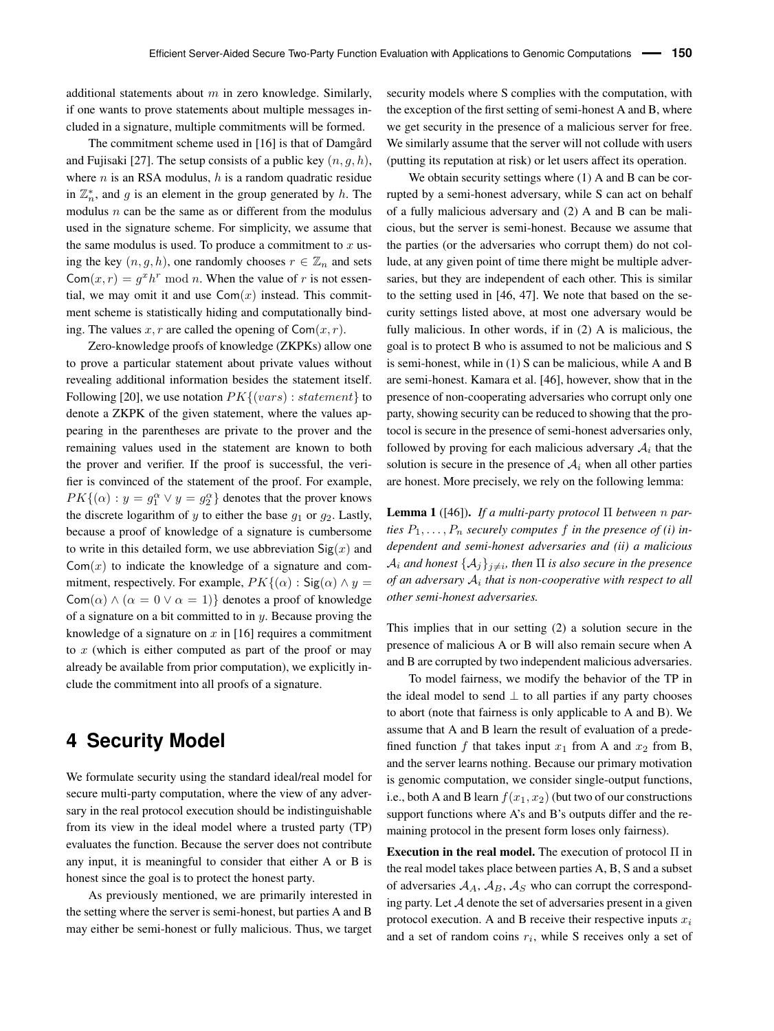additional statements about *m* in zero knowledge. Similarly, if one wants to prove statements about multiple messages included in a signature, multiple commitments will be formed.

The commitment scheme used in [\[16\]](#page-17-13) is that of Damgård and Fujisaki [\[27\]](#page-17-15). The setup consists of a public key (*n, g, h*), where *n* is an RSA modulus, *h* is a random quadratic residue in  $\mathbb{Z}_n^*$ , and *g* is an element in the group generated by *h*. The modulus *n* can be the same as or different from the modulus used in the signature scheme. For simplicity, we assume that the same modulus is used. To produce a commitment to *x* using the key  $(n, g, h)$ , one randomly chooses  $r \in \mathbb{Z}_n$  and sets  $\text{Com}(x, r) = g^x h^r \text{ mod } n.$  When the value of *r* is not essential, we may omit it and use  $Com(x)$  instead. This commitment scheme is statistically hiding and computationally binding. The values  $x, r$  are called the opening of  $Com(x, r)$ .

Zero-knowledge proofs of knowledge (ZKPKs) allow one to prove a particular statement about private values without revealing additional information besides the statement itself. Following [\[20\]](#page-17-16), we use notation *PK*{(*vars*) : *statement*} to denote a ZKPK of the given statement, where the values appearing in the parentheses are private to the prover and the remaining values used in the statement are known to both the prover and verifier. If the proof is successful, the verifier is convinced of the statement of the proof. For example,  $PK\{(\alpha): y = g_1^{\alpha} \lor y = g_2^{\alpha}\}\$  denotes that the prover knows the discrete logarithm of *y* to either the base  $g_1$  or  $g_2$ . Lastly, because a proof of knowledge of a signature is cumbersome to write in this detailed form, we use abbreviation  $\text{Sig}(x)$  and  $Com(x)$  to indicate the knowledge of a signature and commitment, respectively. For example,  $PK{\alpha}$  :  $Sig(\alpha) \wedge y =$ Com( $\alpha$ )  $\wedge$  ( $\alpha = 0 \vee \alpha = 1$ )} denotes a proof of knowledge of a signature on a bit committed to in *y*. Because proving the knowledge of a signature on *x* in [\[16\]](#page-17-13) requires a commitment to *x* (which is either computed as part of the proof or may already be available from prior computation), we explicitly include the commitment into all proofs of a signature.

## **4 Security Model**

We formulate security using the standard ideal/real model for secure multi-party computation, where the view of any adversary in the real protocol execution should be indistinguishable from its view in the ideal model where a trusted party (TP) evaluates the function. Because the server does not contribute any input, it is meaningful to consider that either A or B is honest since the goal is to protect the honest party.

As previously mentioned, we are primarily interested in the setting where the server is semi-honest, but parties A and B may either be semi-honest or fully malicious. Thus, we target security models where S complies with the computation, with the exception of the first setting of semi-honest A and B, where we get security in the presence of a malicious server for free. We similarly assume that the server will not collude with users (putting its reputation at risk) or let users affect its operation.

We obtain security settings where (1) A and B can be corrupted by a semi-honest adversary, while S can act on behalf of a fully malicious adversary and (2) A and B can be malicious, but the server is semi-honest. Because we assume that the parties (or the adversaries who corrupt them) do not collude, at any given point of time there might be multiple adversaries, but they are independent of each other. This is similar to the setting used in [\[46,](#page-18-4) [47\]](#page-18-2). We note that based on the security settings listed above, at most one adversary would be fully malicious. In other words, if in  $(2)$  A is malicious, the goal is to protect B who is assumed to not be malicious and S is semi-honest, while in (1) S can be malicious, while A and B are semi-honest. Kamara et al. [\[46\]](#page-18-4), however, show that in the presence of non-cooperating adversaries who corrupt only one party, showing security can be reduced to showing that the protocol is secure in the presence of semi-honest adversaries only, followed by proving for each malicious adversary  $A_i$  that the solution is secure in the presence of  $A_i$  when all other parties are honest. More precisely, we rely on the following lemma:

Lemma 1 ([\[46\]](#page-18-4)). *If a multi-party protocol* Π *between n parties*  $P_1, \ldots, P_n$  *securely computes*  $f$  *in the presence of (i) independent and semi-honest adversaries and (ii) a malicious*  $\mathcal{A}_i$  and honest  $\{\mathcal{A}_j\}_{j\neq i}$ , then  $\Pi$  is also secure in the presence *of an adversary* A*<sup>i</sup> that is non-cooperative with respect to all other semi-honest adversaries.*

This implies that in our setting (2) a solution secure in the presence of malicious A or B will also remain secure when A and B are corrupted by two independent malicious adversaries.

To model fairness, we modify the behavior of the TP in the ideal model to send  $\perp$  to all parties if any party chooses to abort (note that fairness is only applicable to A and B). We assume that A and B learn the result of evaluation of a predefined function  $f$  that takes input  $x_1$  from A and  $x_2$  from B, and the server learns nothing. Because our primary motivation is genomic computation, we consider single-output functions, i.e., both A and B learn  $f(x_1, x_2)$  (but two of our constructions support functions where A's and B's outputs differ and the remaining protocol in the present form loses only fairness).

Execution in the real model. The execution of protocol  $\Pi$  in the real model takes place between parties A, B, S and a subset of adversaries  $A_A$ ,  $A_B$ ,  $A_S$  who can corrupt the corresponding party. Let  $A$  denote the set of adversaries present in a given protocol execution. A and B receive their respective inputs *x<sup>i</sup>* and a set of random coins  $r_i$ , while S receives only a set of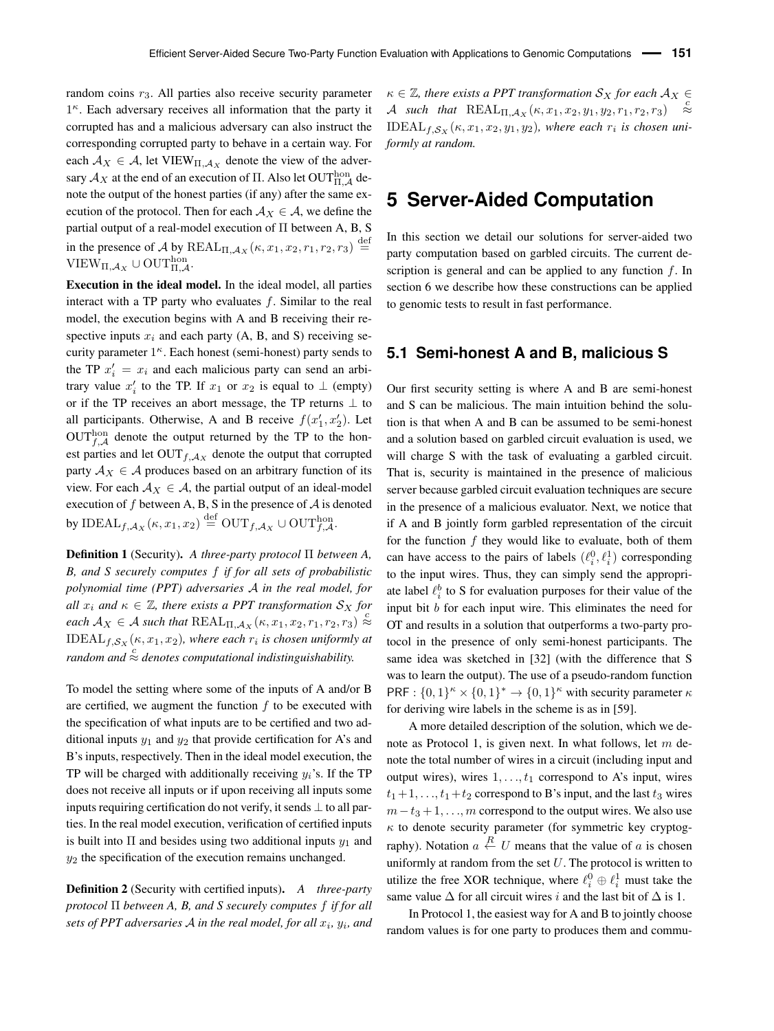random coins *r*3. All parties also receive security parameter 1 *<sup>κ</sup>*. Each adversary receives all information that the party it corrupted has and a malicious adversary can also instruct the corresponding corrupted party to behave in a certain way. For each  $A_X \in \mathcal{A}$ , let VIEW<sub>II</sub>,  $A_X$  denote the view of the adversary  $\mathcal{A}_X$  at the end of an execution of  $\Pi$ . Also let OUT<sup>hon</sup> denote the output of the honest parties (if any) after the same execution of the protocol. Then for each  $A_X \in \mathcal{A}$ , we define the partial output of a real-model execution of Π between A, B, S in the presence of A by REAL<sub>II</sub>,  $A_X(\kappa, x_1, x_2, r_1, r_2, r_3) \stackrel{\text{def}}{=}$  $VIEW_{\Pi,\mathcal{A}_X} \cup \mathrm{OUT}_{\Pi,\mathcal{A}}^{\mathrm{hon}}.$ 

Execution in the ideal model. In the ideal model, all parties interact with a TP party who evaluates *f*. Similar to the real model, the execution begins with A and B receiving their respective inputs  $x_i$  and each party (A, B, and S) receiving security parameter 1<sup>*κ*</sup>. Each honest (semi-honest) party sends to the TP  $x_i' = x_i$  and each malicious party can send an arbitrary value  $x_i'$  to the TP. If  $x_1$  or  $x_2$  is equal to  $\perp$  (empty) or if the TP receives an abort message, the TP returns  $\perp$  to all participants. Otherwise, A and B receive  $f(x'_1, x'_2)$ . Let  $\text{OUT}_{f,\mathcal{A}}^{\text{hon}}$  denote the output returned by the TP to the honest parties and let  $OUT_{f,\mathcal{A}_X}$  denote the output that corrupted party  $A_X \in \mathcal{A}$  produces based on an arbitrary function of its view. For each  $A_X \in \mathcal{A}$ , the partial output of an ideal-model execution of  $f$  between A, B, S in the presence of  $A$  is denoted  $\mathbf{b}$ y IDEAL<sub>*f*</sub>, $\mathcal{A}_X$ ( $\kappa, x_1, x_2$ )  $\stackrel{\text{def}}{=} \text{OUT}_{f, \mathcal{A}_X} \cup \text{OUT}_{f, \mathcal{A}}^{\text{hon}}$ .

Definition 1 (Security). *A three-party protocol* Π *between A, B, and S securely computes f if for all sets of probabilistic polynomial time (PPT) adversaries* A *in the real model, for all*  $x_i$  *and*  $\kappa \in \mathbb{Z}$ *, there exists a PPT transformation*  $S_X$  *for*  $\mathcal{A}_X \in \mathcal{A}$  *such that*  $\text{REAL}_{\Pi, \mathcal{A}_X}(\kappa, x_1, x_2, r_1, r_2, r_3) \stackrel{c}{\approx}$  $\text{IDEAL}_{f, \mathcal{S}_X}(\kappa, x_1, x_2)$ , where each  $r_i$  is chosen uniformly at *random and*  $\stackrel{c}{\approx}$  *denotes computational indistinguishability.* 

To model the setting where some of the inputs of A and/or B are certified, we augment the function *f* to be executed with the specification of what inputs are to be certified and two additional inputs *y*<sup>1</sup> and *y*<sup>2</sup> that provide certification for A's and B's inputs, respectively. Then in the ideal model execution, the TP will be charged with additionally receiving  $y_i$ 's. If the TP does not receive all inputs or if upon receiving all inputs some inputs requiring certification do not verify, it sends  $\perp$  to all parties. In the real model execution, verification of certified inputs is built into  $\Pi$  and besides using two additional inputs  $y_1$  and *y*<sup>2</sup> the specification of the execution remains unchanged.

<span id="page-7-1"></span>Definition 2 (Security with certified inputs). *A three-party protocol* Π *between A, B, and S securely computes f if for all sets of PPT adversaries*  $\mathcal A$  *in the real model, for all*  $x_i, y_i$ *, and* 

 $\kappa \in \mathbb{Z}$ , there exists a PPT transformation  $\mathcal{S}_X$  for each  $\mathcal{A}_X$  ∈ A such that  $REAL_{\Pi,A_X}(\kappa,x_1,x_2,y_1,y_2,r_1,r_2,r_3) \propto$  $\text{IDEAL}_{f, \mathcal{S}_X}(\kappa, x_1, x_2, y_1, y_2)$ , where each  $r_i$  is chosen uni*formly at random.*

## **5 Server-Aided Computation**

In this section we detail our solutions for server-aided two party computation based on garbled circuits. The current description is general and can be applied to any function *f*. In section [6](#page-11-0) we describe how these constructions can be applied to genomic tests to result in fast performance.

#### <span id="page-7-0"></span>**5.1 Semi-honest A and B, malicious S**

Our first security setting is where A and B are semi-honest and S can be malicious. The main intuition behind the solution is that when A and B can be assumed to be semi-honest and a solution based on garbled circuit evaluation is used, we will charge S with the task of evaluating a garbled circuit. That is, security is maintained in the presence of malicious server because garbled circuit evaluation techniques are secure in the presence of a malicious evaluator. Next, we notice that if A and B jointly form garbled representation of the circuit for the function *f* they would like to evaluate, both of them can have access to the pairs of labels  $(\ell_i^0, \ell_i^1)$  corresponding to the input wires. Thus, they can simply send the appropriate label  $\ell_i^b$  to S for evaluation purposes for their value of the input bit *b* for each input wire. This eliminates the need for OT and results in a solution that outperforms a two-party protocol in the presence of only semi-honest participants. The same idea was sketched in [\[32\]](#page-18-7) (with the difference that S was to learn the output). The use of a pseudo-random function PRF :  $\{0,1\}^k \times \{0,1\}^* \to \{0,1\}^k$  with security parameter  $\kappa$ for deriving wire labels in the scheme is as in [\[59\]](#page-18-9).

A more detailed description of the solution, which we denote as Protocol 1, is given next. In what follows, let *m* denote the total number of wires in a circuit (including input and output wires), wires  $1, \ldots, t_1$  correspond to A's input, wires  $t_1+1, \ldots, t_1+t_2$  correspond to B's input, and the last  $t_3$  wires  $m-t_3+1, \ldots, m$  correspond to the output wires. We also use  $\kappa$  to denote security parameter (for symmetric key cryptography). Notation  $a \stackrel{R}{\leftarrow} U$  means that the value of *a* is chosen uniformly at random from the set *U*. The protocol is written to utilize the free XOR technique, where  $\ell_i^0 \oplus \ell_i^1$  must take the same value  $\Delta$  for all circuit wires *i* and the last bit of  $\Delta$  is 1.

In Protocol 1, the easiest way for A and B to jointly choose random values is for one party to produces them and commu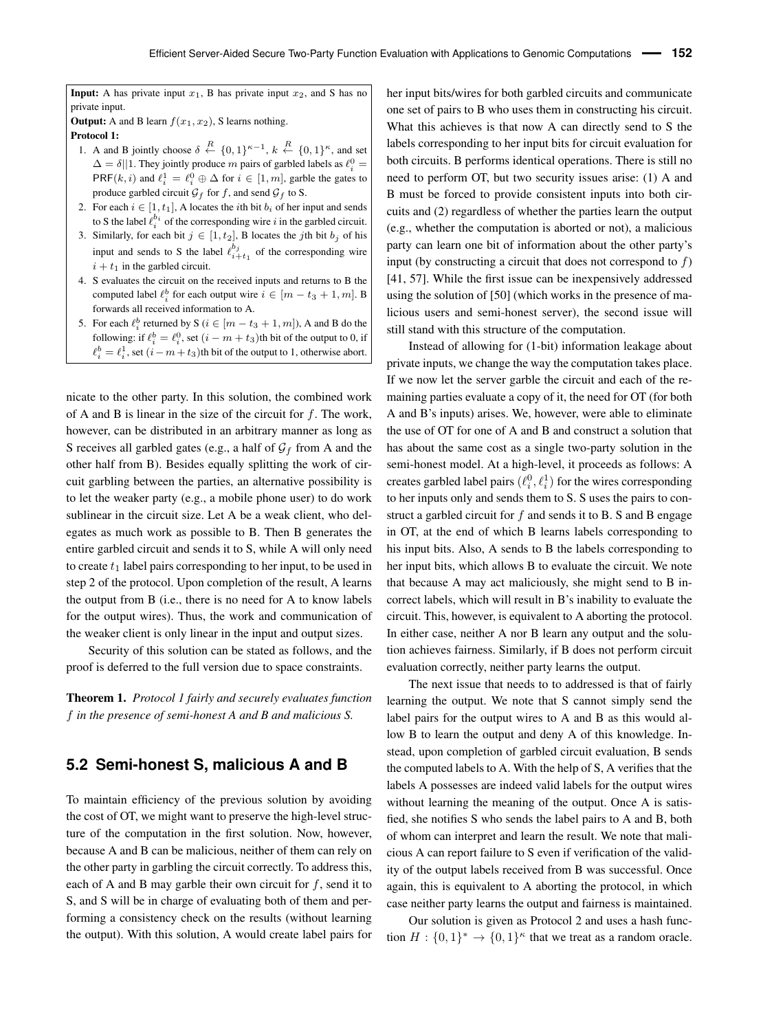**Input:** A has private input  $x_1$ , B has private input  $x_2$ , and S has no private input.

**Output:** A and B learn  $f(x_1, x_2)$ , S learns nothing.

#### Protocol 1:

- 1. A and B jointly choose  $\delta \stackrel{R}{\leftarrow} \{0,1\}^{\kappa-1}, k \stackrel{R}{\leftarrow} \{0,1\}^{\kappa}$ , and set  $\Delta = \delta ||1$ . They jointly produce *m* pairs of garbled labels as  $\ell_i^0 =$ PRF(*k*, *i*) and  $\ell_i^1 = \ell_i^0 \oplus \Delta$  for  $i \in [1, m]$ , garble the gates to produce garbled circuit  $\mathcal{G}_f$  for *f*, and send  $\mathcal{G}_f$  to S.
- 2. For each  $i \in [1, t_1]$ , A locates the *i*th bit  $b_i$  of her input and sends to S the label  $\ell_i^{b_i}$  of the corresponding wire *i* in the garbled circuit.
- 3. Similarly, for each bit  $j \in [1, t_2]$ , B locates the *j*th bit  $b_j$  of his input and sends to S the label  $\ell_{i+t_1}^{b_j}$  of the corresponding wire  $i + t_1$  in the garbled circuit.
- 4. S evaluates the circuit on the received inputs and returns to B the computed label  $\ell_i^b$  for each output wire  $i \in [m - t_3 + 1, m]$ . B forwards all received information to A.
- 5. For each  $\ell_i^b$  returned by S ( $i \in [m t_3 + 1, m]$ ), A and B do the following: if  $\ell_i^b = \ell_i^0$ , set  $(i - m + t_3)$ th bit of the output to 0, if  $\ell_i^b = \ell_i^1$ , set  $(i - m + t_3)$ th bit of the output to 1, otherwise abort.

nicate to the other party. In this solution, the combined work of A and B is linear in the size of the circuit for *f*. The work, however, can be distributed in an arbitrary manner as long as S receives all garbled gates (e.g., a half of  $\mathcal{G}_f$  from A and the other half from B). Besides equally splitting the work of circuit garbling between the parties, an alternative possibility is to let the weaker party (e.g., a mobile phone user) to do work sublinear in the circuit size. Let A be a weak client, who delegates as much work as possible to B. Then B generates the entire garbled circuit and sends it to S, while A will only need to create  $t_1$  label pairs corresponding to her input, to be used in step 2 of the protocol. Upon completion of the result, A learns the output from B (i.e., there is no need for A to know labels for the output wires). Thus, the work and communication of the weaker client is only linear in the input and output sizes.

Security of this solution can be stated as follows, and the proof is deferred to the full version due to space constraints.

Theorem 1. *Protocol 1 fairly and securely evaluates function f in the presence of semi-honest A and B and malicious S.*

#### **5.2 Semi-honest S, malicious A and B**

To maintain efficiency of the previous solution by avoiding the cost of OT, we might want to preserve the high-level structure of the computation in the first solution. Now, however, because A and B can be malicious, neither of them can rely on the other party in garbling the circuit correctly. To address this, each of A and B may garble their own circuit for *f*, send it to S, and S will be in charge of evaluating both of them and performing a consistency check on the results (without learning the output). With this solution, A would create label pairs for her input bits/wires for both garbled circuits and communicate one set of pairs to B who uses them in constructing his circuit. What this achieves is that now A can directly send to S the labels corresponding to her input bits for circuit evaluation for both circuits. B performs identical operations. There is still no need to perform OT, but two security issues arise: (1) A and B must be forced to provide consistent inputs into both circuits and (2) regardless of whether the parties learn the output (e.g., whether the computation is aborted or not), a malicious party can learn one bit of information about the other party's input (by constructing a circuit that does not correspond to *f*) [\[41,](#page-18-21) [57\]](#page-18-22). While the first issue can be inexpensively addressed using the solution of [\[50\]](#page-18-6) (which works in the presence of malicious users and semi-honest server), the second issue will still stand with this structure of the computation.

Instead of allowing for (1-bit) information leakage about private inputs, we change the way the computation takes place. If we now let the server garble the circuit and each of the remaining parties evaluate a copy of it, the need for OT (for both A and B's inputs) arises. We, however, were able to eliminate the use of OT for one of A and B and construct a solution that has about the same cost as a single two-party solution in the semi-honest model. At a high-level, it proceeds as follows: A creates garbled label pairs  $(\ell_i^0, \ell_i^1)$  for the wires corresponding to her inputs only and sends them to S. S uses the pairs to construct a garbled circuit for *f* and sends it to B. S and B engage in OT, at the end of which B learns labels corresponding to his input bits. Also, A sends to B the labels corresponding to her input bits, which allows B to evaluate the circuit. We note that because A may act maliciously, she might send to B incorrect labels, which will result in B's inability to evaluate the circuit. This, however, is equivalent to A aborting the protocol. In either case, neither A nor B learn any output and the solution achieves fairness. Similarly, if B does not perform circuit evaluation correctly, neither party learns the output.

The next issue that needs to to addressed is that of fairly learning the output. We note that S cannot simply send the label pairs for the output wires to A and B as this would allow B to learn the output and deny A of this knowledge. Instead, upon completion of garbled circuit evaluation, B sends the computed labels to A. With the help of S, A verifies that the labels A possesses are indeed valid labels for the output wires without learning the meaning of the output. Once A is satisfied, she notifies S who sends the label pairs to A and B, both of whom can interpret and learn the result. We note that malicious A can report failure to S even if verification of the validity of the output labels received from B was successful. Once again, this is equivalent to A aborting the protocol, in which case neither party learns the output and fairness is maintained.

Our solution is given as Protocol 2 and uses a hash function  $H: \{0,1\}^* \to \{0,1\}^{\kappa}$  that we treat as a random oracle.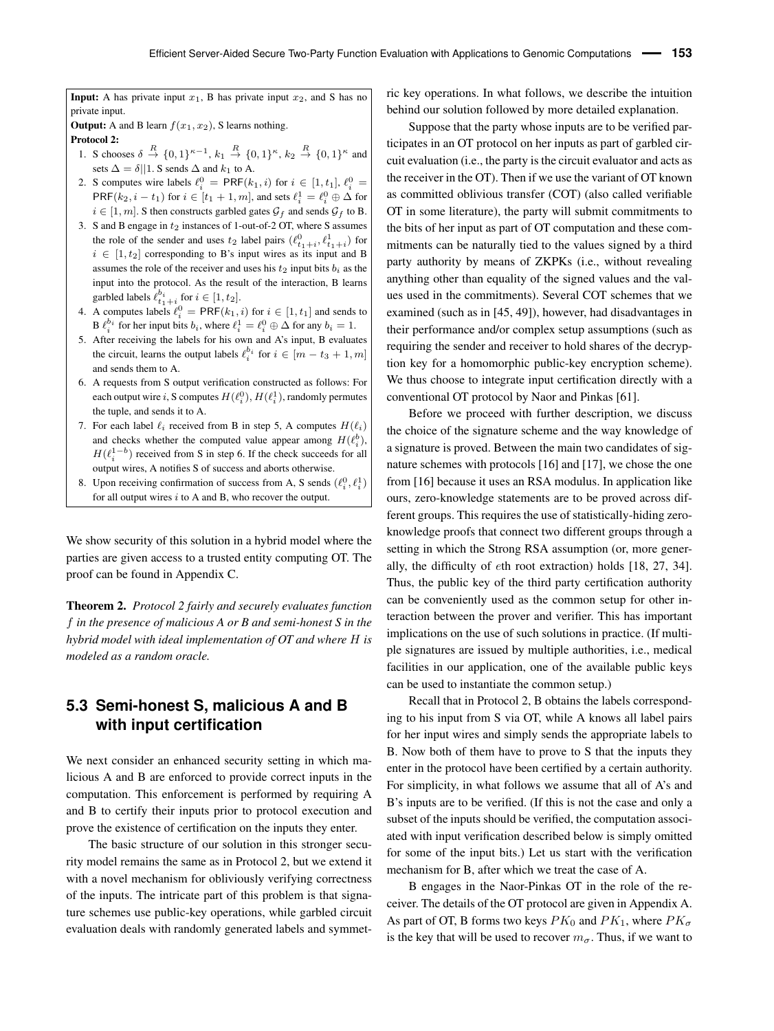**Input:** A has private input  $x_1$ , B has private input  $x_2$ , and S has no private input.

**Output:** A and B learn  $f(x_1, x_2)$ , S learns nothing.

#### Protocol 2:

- 1. S chooses  $\delta \stackrel{R}{\rightarrow} \{0,1\}^{\kappa-1}, k_1 \stackrel{R}{\rightarrow} \{0,1\}^{\kappa}, k_2 \stackrel{R}{\rightarrow} \{0,1\}^{\kappa}$  and sets  $\Delta = \delta ||1$ . S sends  $\Delta$  and  $k_1$  to A.
- 2. S computes wire labels  $\ell_i^0$  = PRF( $k_1, i$ ) for  $i \in [1, t_1]$ ,  $\ell_i^0$  = PRF( $k_2$ ,  $i - t_1$ ) for  $i \in [t_1 + 1, m]$ , and sets  $\ell_i^1 = \ell_i^0 \oplus \Delta$  for  $i \in [1, m]$ . S then constructs garbled gates  $\mathcal{G}_f$  and sends  $\mathcal{G}_f$  to B.
- 3. S and B engage in *t*<sup>2</sup> instances of 1-out-of-2 OT, where S assumes the role of the sender and uses  $t_2$  label pairs  $(\ell^0_{t_1+i}, \ell^1_{t_1+i})$  for  $i \in [1, t_2]$  corresponding to B's input wires as its input and B assumes the role of the receiver and uses his  $t_2$  input bits  $b_i$  as the input into the protocol. As the result of the interaction, B learns garbled labels  $\ell_{t_1+i}^{b_i}$  for  $i \in [1, t_2]$ .
- 4. A computes labels  $\ell_i^0 = \text{PRF}(k_1, i)$  for  $i \in [1, t_1]$  and sends to  $B \ell_i^{b_i}$  for her input bits  $b_i$ , where  $\ell_i^1 = \ell_i^0 \oplus \Delta$  for any  $b_i = 1$ .
- 5. After receiving the labels for his own and A's input, B evaluates the circuit, learns the output labels  $\ell_i^{b_i}$  for  $i \in [m - t_3 + 1, m]$ and sends them to A.
- 6. A requests from S output verification constructed as follows: For each output wire *i*, S computes  $H(\ell_i^0), H(\ell_i^1)$ , randomly permutes the tuple, and sends it to A.
- 7. For each label  $\ell_i$  received from B in step 5, A computes  $H(\ell_i)$ and checks whether the computed value appear among  $H(\ell_i^b)$ ,  $H(\ell_i^{1-b})$  received from S in step 6. If the check succeeds for all output wires, A notifies S of success and aborts otherwise.
- 8. Upon receiving confirmation of success from A, S sends  $(\ell_i^0, \ell_i^1)$ for all output wires *i* to A and B, who recover the output.

We show security of this solution in a hybrid model where the parties are given access to a trusted entity computing OT. The proof can be found in Appendix [C.](#page-19-1)

<span id="page-9-1"></span>Theorem 2. *Protocol 2 fairly and securely evaluates function f in the presence of malicious A or B and semi-honest S in the hybrid model with ideal implementation of OT and where H is modeled as a random oracle.*

### <span id="page-9-0"></span>**5.3 Semi-honest S, malicious A and B with input certification**

We next consider an enhanced security setting in which malicious A and B are enforced to provide correct inputs in the computation. This enforcement is performed by requiring A and B to certify their inputs prior to protocol execution and prove the existence of certification on the inputs they enter.

The basic structure of our solution in this stronger security model remains the same as in Protocol 2, but we extend it with a novel mechanism for obliviously verifying correctness of the inputs. The intricate part of this problem is that signature schemes use public-key operations, while garbled circuit evaluation deals with randomly generated labels and symmetric key operations. In what follows, we describe the intuition behind our solution followed by more detailed explanation.

Suppose that the party whose inputs are to be verified participates in an OT protocol on her inputs as part of garbled circuit evaluation (i.e., the party is the circuit evaluator and acts as the receiver in the OT). Then if we use the variant of OT known as committed oblivious transfer (COT) (also called verifiable OT in some literature), the party will submit commitments to the bits of her input as part of OT computation and these commitments can be naturally tied to the values signed by a third party authority by means of ZKPKs (i.e., without revealing anything other than equality of the signed values and the values used in the commitments). Several COT schemes that we examined (such as in [\[45,](#page-18-23) [49\]](#page-18-24)), however, had disadvantages in their performance and/or complex setup assumptions (such as requiring the sender and receiver to hold shares of the decryption key for a homomorphic public-key encryption scheme). We thus choose to integrate input certification directly with a conventional OT protocol by Naor and Pinkas [\[61\]](#page-18-18).

Before we proceed with further description, we discuss the choice of the signature scheme and the way knowledge of a signature is proved. Between the main two candidates of signature schemes with protocols [\[16\]](#page-17-13) and [\[17\]](#page-17-14), we chose the one from [\[16\]](#page-17-13) because it uses an RSA modulus. In application like ours, zero-knowledge statements are to be proved across different groups. This requires the use of statistically-hiding zeroknowledge proofs that connect two different groups through a setting in which the Strong RSA assumption (or, more generally, the difficulty of *e*th root extraction) holds [\[18,](#page-17-17) [27,](#page-17-15) [34\]](#page-18-25). Thus, the public key of the third party certification authority can be conveniently used as the common setup for other interaction between the prover and verifier. This has important implications on the use of such solutions in practice. (If multiple signatures are issued by multiple authorities, i.e., medical facilities in our application, one of the available public keys can be used to instantiate the common setup.)

Recall that in Protocol 2, B obtains the labels corresponding to his input from S via OT, while A knows all label pairs for her input wires and simply sends the appropriate labels to B. Now both of them have to prove to S that the inputs they enter in the protocol have been certified by a certain authority. For simplicity, in what follows we assume that all of A's and B's inputs are to be verified. (If this is not the case and only a subset of the inputs should be verified, the computation associated with input verification described below is simply omitted for some of the input bits.) Let us start with the verification mechanism for B, after which we treat the case of A.

B engages in the Naor-Pinkas OT in the role of the receiver. The details of the OT protocol are given in Appendix [A.](#page-19-0) As part of OT, B forms two keys  $PK_0$  and  $PK_1$ , where  $PK_\sigma$ is the key that will be used to recover  $m_{\sigma}$ . Thus, if we want to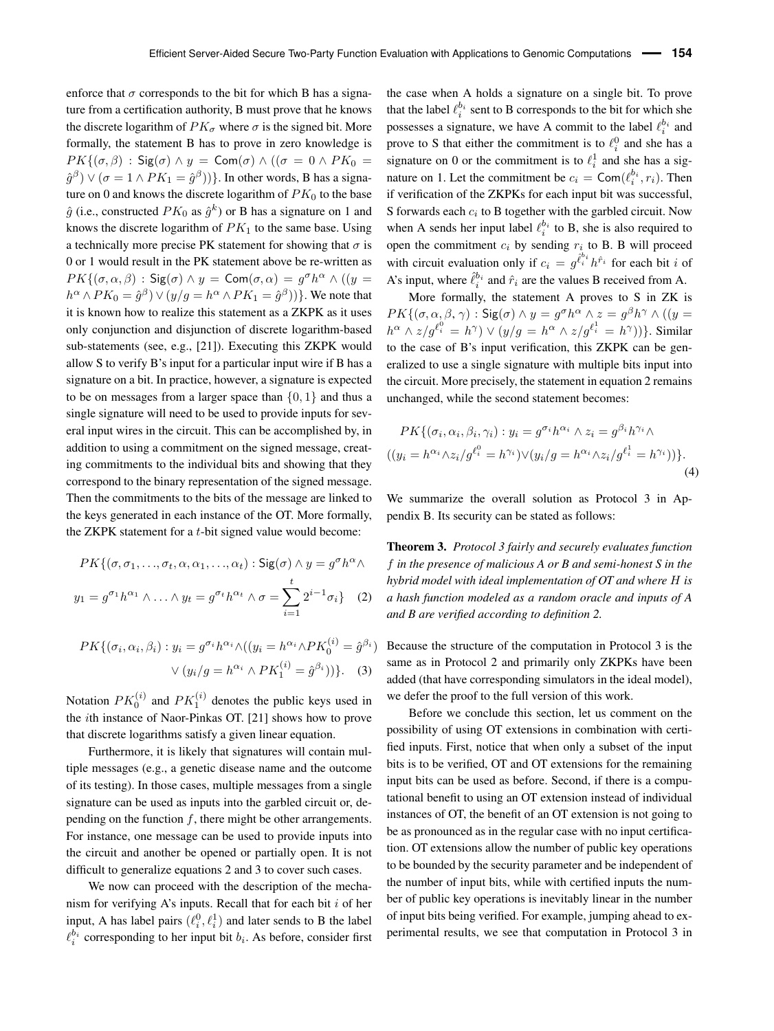enforce that  $\sigma$  corresponds to the bit for which B has a signature from a certification authority, B must prove that he knows the discrete logarithm of  $PK_\sigma$  where  $\sigma$  is the signed bit. More formally, the statement B has to prove in zero knowledge is *PK*{( $\sigma$ , $\beta$ ) : Sig( $\sigma$ )  $\wedge$  *y* = Com( $\sigma$ )  $\wedge$  (( $\sigma$  = 0  $\wedge$  *PK*<sub>0</sub> =  $(\hat{g}^{\beta}) \vee (\sigma = 1 \wedge PK_1 = \hat{g}^{\beta}))\}.$  In other words, B has a signature on 0 and knows the discrete logarithm of  $PK_0$  to the base  $\hat{g}$  (i.e., constructed  $PK_0$  as  $\hat{g}^k$ ) or B has a signature on 1 and knows the discrete logarithm of  $PK_1$  to the same base. Using a technically more precise PK statement for showing that  $\sigma$  is 0 or 1 would result in the PK statement above be re-written as *PK*{( $\sigma$ , $\alpha$ , $\beta$ ) : Sig( $\sigma$ )  $\wedge$   $y = \text{Com}(\sigma, \alpha) = g^{\sigma}h^{\alpha} \wedge ((y =$  $h^{\alpha} \wedge PK_0 = \hat{g}^{\beta}$ )  $\vee$   $(y/g = h^{\alpha} \wedge PK_1 = \hat{g}^{\beta})$ )}. We note that it is known how to realize this statement as a ZKPK as it uses only conjunction and disjunction of discrete logarithm-based sub-statements (see, e.g., [\[21\]](#page-17-18)). Executing this ZKPK would allow S to verify B's input for a particular input wire if B has a signature on a bit. In practice, however, a signature is expected to be on messages from a larger space than {0*,* 1} and thus a single signature will need to be used to provide inputs for several input wires in the circuit. This can be accomplished by, in addition to using a commitment on the signed message, creating commitments to the individual bits and showing that they correspond to the binary representation of the signed message. Then the commitments to the bits of the message are linked to the keys generated in each instance of the OT. More formally, the ZKPK statement for a *t*-bit signed value would become:

$$
PK\{(\sigma, \sigma_1, ..., \sigma_t, \alpha, \alpha_1, ..., \alpha_t) : \text{Sig}(\sigma) \land y = g^{\sigma}h^{\alpha} \land y_1 = g^{\sigma_1}h^{\alpha_1} \land ... \land y_t = g^{\sigma_t}h^{\alpha_t} \land \sigma = \sum_{i=1}^t 2^{i-1}\sigma_i\}
$$
 (2)

$$
PK\{(\sigma_i, \alpha_i, \beta_i) : y_i = g^{\sigma_i} h^{\alpha_i} \wedge ((y_i = h^{\alpha_i} \wedge PK_0^{(i)} = \hat{g}^{\beta_i})
$$

$$
\vee (y_i/g = h^{\alpha_i} \wedge PK_1^{(i)} = \hat{g}^{\beta_i}))\}.
$$
 (3)

Notation  $PK_0^{(i)}$  and  $PK_1^{(i)}$  denotes the public keys used in the *i*th instance of Naor-Pinkas OT. [\[21\]](#page-17-18) shows how to prove that discrete logarithms satisfy a given linear equation.

Furthermore, it is likely that signatures will contain multiple messages (e.g., a genetic disease name and the outcome of its testing). In those cases, multiple messages from a single signature can be used as inputs into the garbled circuit or, depending on the function *f*, there might be other arrangements. For instance, one message can be used to provide inputs into the circuit and another be opened or partially open. It is not difficult to generalize equations [2](#page-10-0) and [3](#page-10-1) to cover such cases.

We now can proceed with the description of the mechanism for verifying A's inputs. Recall that for each bit *i* of her input, A has label pairs  $(\ell_i^0, \ell_i^1)$  and later sends to B the label  $\ell_i^{b_i}$  corresponding to her input bit *b<sub>i</sub>*. As before, consider first

the case when A holds a signature on a single bit. To prove that the label  $\ell_i^{b_i}$  sent to B corresponds to the bit for which she possesses a signature, we have A commit to the label  $\ell_i^{b_i}$  and prove to S that either the commitment is to  $\ell_i^0$  and she has a signature on 0 or the commitment is to  $\ell_i^1$  and she has a signature on 1. Let the commitment be  $c_i = \text{Com}(\ell_i^{b_i}, r_i)$ . Then if verification of the ZKPKs for each input bit was successful, S forwards each  $c_i$  to B together with the garbled circuit. Now when A sends her input label  $\ell_i^{b_i}$  to B, she is also required to open the commitment  $c_i$  by sending  $r_i$  to B. B will proceed with circuit evaluation only if  $c_i = g^{\hat{\ell}_i} h^{\hat{r}_i}$  for each bit *i* of A's input, where  $\hat{\ell}_i^{b_i}$  and  $\hat{r}_i$  are the values B received from A.

More formally, the statement A proves to S in ZK is *PK*{(*σ*,  $\alpha$ ,  $\beta$ ,  $\gamma$ ) : Sig(*σ*)  $\land$   $y = g^{\sigma}h^{\alpha} \land z = g^{\beta}h^{\gamma} \land ((y =$  $h^{\alpha} \wedge z/g^{\ell_i^0} = h^{\gamma} \vee (y/g = h^{\alpha} \wedge z/g^{\ell_i^1} = h^{\gamma}))\}.$  Similar to the case of B's input verification, this ZKPK can be generalized to use a single signature with multiple bits input into the circuit. More precisely, the statement in equation [2](#page-10-0) remains unchanged, while the second statement becomes:

<span id="page-10-2"></span>
$$
PK\{(\sigma_i, \alpha_i, \beta_i, \gamma_i) : y_i = g^{\sigma_i} h^{\alpha_i} \wedge z_i = g^{\beta_i} h^{\gamma_i} \wedge
$$
  

$$
((y_i = h^{\alpha_i} \wedge z_i / g^{\ell_i^0} = h^{\gamma_i}) \vee (y_i / g = h^{\alpha_i} \wedge z_i / g^{\ell_i^1} = h^{\gamma_i})).
$$
  
(4)

We summarize the overall solution as Protocol 3 in Appendix [B.](#page-19-2) Its security can be stated as follows:

<span id="page-10-0"></span>Theorem 3. *Protocol 3 fairly and securely evaluates function f in the presence of malicious A or B and semi-honest S in the hybrid model with ideal implementation of OT and where H is a hash function modeled as a random oracle and inputs of A and B are verified according to definition [2.](#page-7-1)*

<span id="page-10-1"></span>Because the structure of the computation in Protocol 3 is the same as in Protocol 2 and primarily only ZKPKs have been added (that have corresponding simulators in the ideal model), we defer the proof to the full version of this work.

Before we conclude this section, let us comment on the possibility of using OT extensions in combination with certified inputs. First, notice that when only a subset of the input bits is to be verified, OT and OT extensions for the remaining input bits can be used as before. Second, if there is a computational benefit to using an OT extension instead of individual instances of OT, the benefit of an OT extension is not going to be as pronounced as in the regular case with no input certification. OT extensions allow the number of public key operations to be bounded by the security parameter and be independent of the number of input bits, while with certified inputs the number of public key operations is inevitably linear in the number of input bits being verified. For example, jumping ahead to experimental results, we see that computation in Protocol 3 in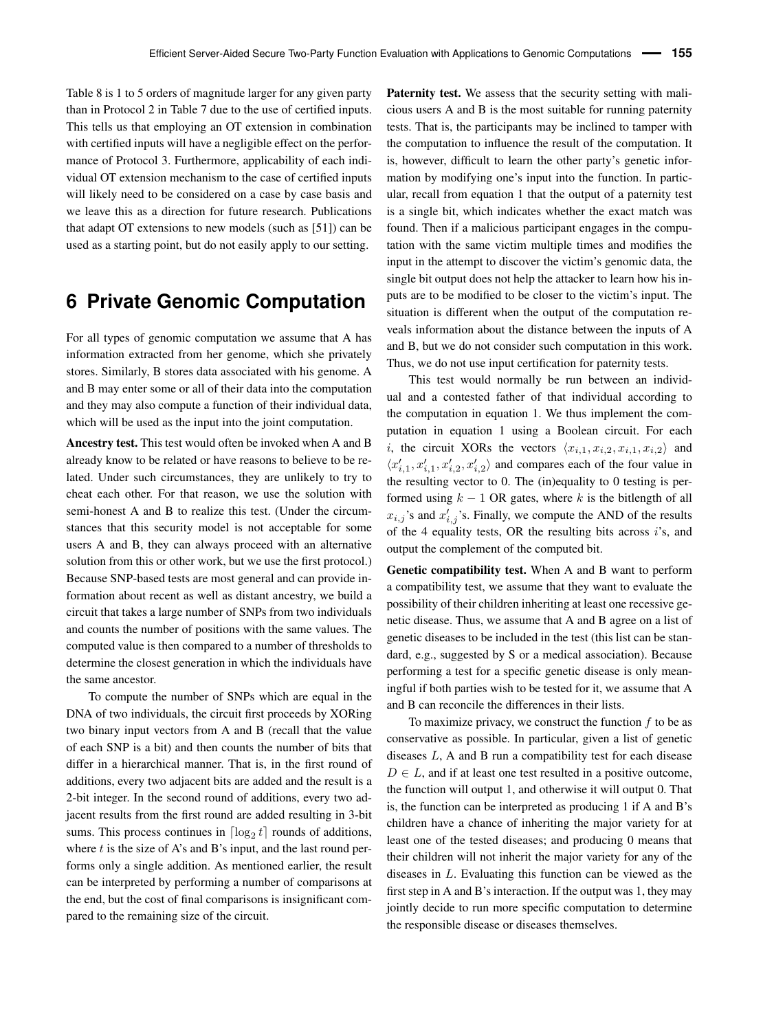Table [8](#page-17-19) is 1 to 5 orders of magnitude larger for any given party than in Protocol 2 in Table [7](#page-16-5) due to the use of certified inputs. This tells us that employing an OT extension in combination with certified inputs will have a negligible effect on the performance of Protocol 3. Furthermore, applicability of each individual OT extension mechanism to the case of certified inputs will likely need to be considered on a case by case basis and we leave this as a direction for future research. Publications that adapt OT extensions to new models (such as [\[51\]](#page-18-26)) can be used as a starting point, but do not easily apply to our setting.

## <span id="page-11-0"></span>**6 Private Genomic Computation**

For all types of genomic computation we assume that A has information extracted from her genome, which she privately stores. Similarly, B stores data associated with his genome. A and B may enter some or all of their data into the computation and they may also compute a function of their individual data, which will be used as the input into the joint computation.

Ancestry test. This test would often be invoked when A and B already know to be related or have reasons to believe to be related. Under such circumstances, they are unlikely to try to cheat each other. For that reason, we use the solution with semi-honest A and B to realize this test. (Under the circumstances that this security model is not acceptable for some users A and B, they can always proceed with an alternative solution from this or other work, but we use the first protocol.) Because SNP-based tests are most general and can provide information about recent as well as distant ancestry, we build a circuit that takes a large number of SNPs from two individuals and counts the number of positions with the same values. The computed value is then compared to a number of thresholds to determine the closest generation in which the individuals have the same ancestor.

To compute the number of SNPs which are equal in the DNA of two individuals, the circuit first proceeds by XORing two binary input vectors from A and B (recall that the value of each SNP is a bit) and then counts the number of bits that differ in a hierarchical manner. That is, in the first round of additions, every two adjacent bits are added and the result is a 2-bit integer. In the second round of additions, every two adjacent results from the first round are added resulting in 3-bit sums. This process continues in  $\lceil \log_2 t \rceil$  rounds of additions, where *t* is the size of A's and B's input, and the last round performs only a single addition. As mentioned earlier, the result can be interpreted by performing a number of comparisons at the end, but the cost of final comparisons is insignificant compared to the remaining size of the circuit.

Paternity test. We assess that the security setting with malicious users A and B is the most suitable for running paternity tests. That is, the participants may be inclined to tamper with the computation to influence the result of the computation. It is, however, difficult to learn the other party's genetic information by modifying one's input into the function. In particular, recall from equation [1](#page-4-2) that the output of a paternity test is a single bit, which indicates whether the exact match was found. Then if a malicious participant engages in the computation with the same victim multiple times and modifies the input in the attempt to discover the victim's genomic data, the single bit output does not help the attacker to learn how his inputs are to be modified to be closer to the victim's input. The situation is different when the output of the computation reveals information about the distance between the inputs of A and B, but we do not consider such computation in this work. Thus, we do not use input certification for paternity tests.

This test would normally be run between an individual and a contested father of that individual according to the computation in equation [1.](#page-4-2) We thus implement the computation in equation [1](#page-4-2) using a Boolean circuit. For each *i*, the circuit XORs the vectors  $\langle x_{i,1}, x_{i,2}, x_{i,1}, x_{i,2} \rangle$  and  $\langle x'_{i,1}, x'_{i,1}, x'_{i,2}, x'_{i,2} \rangle$  and compares each of the four value in the resulting vector to 0. The (in)equality to 0 testing is performed using  $k - 1$  OR gates, where  $k$  is the bitlength of all  $x_{i,j}$ 's and  $x'_{i,j}$ 's. Finally, we compute the AND of the results of the 4 equality tests, OR the resulting bits across *i*'s, and output the complement of the computed bit.

Genetic compatibility test. When A and B want to perform a compatibility test, we assume that they want to evaluate the possibility of their children inheriting at least one recessive genetic disease. Thus, we assume that A and B agree on a list of genetic diseases to be included in the test (this list can be standard, e.g., suggested by S or a medical association). Because performing a test for a specific genetic disease is only meaningful if both parties wish to be tested for it, we assume that A and B can reconcile the differences in their lists.

To maximize privacy, we construct the function *f* to be as conservative as possible. In particular, given a list of genetic diseases *L*, A and B run a compatibility test for each disease  $D \in L$ , and if at least one test resulted in a positive outcome, the function will output 1, and otherwise it will output 0. That is, the function can be interpreted as producing 1 if A and B's children have a chance of inheriting the major variety for at least one of the tested diseases; and producing 0 means that their children will not inherit the major variety for any of the diseases in *L*. Evaluating this function can be viewed as the first step in A and B's interaction. If the output was 1, they may jointly decide to run more specific computation to determine the responsible disease or diseases themselves.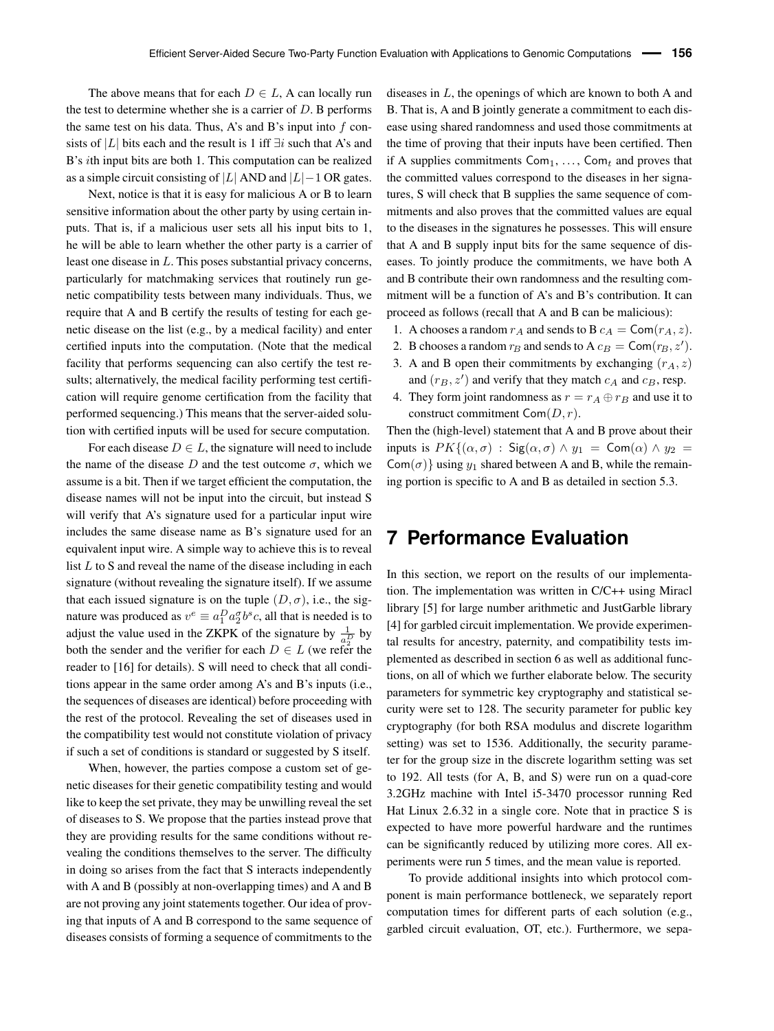The above means that for each  $D \in L$ , A can locally run the test to determine whether she is a carrier of *D*. B performs the same test on his data. Thus, A's and B's input into *f* consists of |*L*| bits each and the result is 1 iff ∃*i* such that A's and B's *i*th input bits are both 1. This computation can be realized as a simple circuit consisting of |*L*| AND and |*L*|−1 OR gates.

Next, notice is that it is easy for malicious A or B to learn sensitive information about the other party by using certain inputs. That is, if a malicious user sets all his input bits to 1, he will be able to learn whether the other party is a carrier of least one disease in *L*. This poses substantial privacy concerns, particularly for matchmaking services that routinely run genetic compatibility tests between many individuals. Thus, we require that A and B certify the results of testing for each genetic disease on the list (e.g., by a medical facility) and enter certified inputs into the computation. (Note that the medical facility that performs sequencing can also certify the test results; alternatively, the medical facility performing test certification will require genome certification from the facility that performed sequencing.) This means that the server-aided solution with certified inputs will be used for secure computation.

For each disease  $D \in L$ , the signature will need to include the name of the disease  $D$  and the test outcome  $\sigma$ , which we assume is a bit. Then if we target efficient the computation, the disease names will not be input into the circuit, but instead S will verify that A's signature used for a particular input wire includes the same disease name as B's signature used for an equivalent input wire. A simple way to achieve this is to reveal list *L* to S and reveal the name of the disease including in each signature (without revealing the signature itself). If we assume that each issued signature is on the tuple  $(D, \sigma)$ , i.e., the signature was produced as  $v^e \equiv a_1^D a_2^{\sigma} b^s c$ , all that is needed is to adjust the value used in the ZKPK of the signature by  $\frac{1}{a_2^D}$  by both the sender and the verifier for each  $D \in L$  (we refer the reader to [\[16\]](#page-17-13) for details). S will need to check that all conditions appear in the same order among A's and B's inputs (i.e., the sequences of diseases are identical) before proceeding with the rest of the protocol. Revealing the set of diseases used in the compatibility test would not constitute violation of privacy if such a set of conditions is standard or suggested by S itself.

When, however, the parties compose a custom set of genetic diseases for their genetic compatibility testing and would like to keep the set private, they may be unwilling reveal the set of diseases to S. We propose that the parties instead prove that they are providing results for the same conditions without revealing the conditions themselves to the server. The difficulty in doing so arises from the fact that S interacts independently with A and B (possibly at non-overlapping times) and A and B are not proving any joint statements together. Our idea of proving that inputs of A and B correspond to the same sequence of diseases consists of forming a sequence of commitments to the

diseases in *L*, the openings of which are known to both A and B. That is, A and B jointly generate a commitment to each disease using shared randomness and used those commitments at the time of proving that their inputs have been certified. Then if A supplies commitments  $Com_1, \ldots$ ,  $Com_t$  and proves that the committed values correspond to the diseases in her signatures, S will check that B supplies the same sequence of commitments and also proves that the committed values are equal to the diseases in the signatures he possesses. This will ensure that A and B supply input bits for the same sequence of diseases. To jointly produce the commitments, we have both A and B contribute their own randomness and the resulting commitment will be a function of A's and B's contribution. It can proceed as follows (recall that A and B can be malicious):

- 1. A chooses a random  $r_A$  and sends to B  $c_A = \text{Com}(r_A, z)$ .
- 2. B chooses a random  $r_B$  and sends to A  $c_B = \text{Com}(r_B, z')$ .
- 3. A and B open their commitments by exchanging  $(r_A, z)$ and  $(r_B, z')$  and verify that they match  $c_A$  and  $c_B$ , resp.
- 4. They form joint randomness as  $r = r_A \oplus r_B$  and use it to construct commitment Com(*D, r*).

Then the (high-level) statement that A and B prove about their inputs is  $PK{\alpha, \sigma}$  :  $Sig(\alpha, \sigma) \wedge y_1 = Com(\alpha) \wedge y_2 =$  $Com(\sigma)$ } using  $y_1$  shared between A and B, while the remaining portion is specific to A and B as detailed in section [5.3.](#page-9-0)

### <span id="page-12-0"></span>**7 Performance Evaluation**

In this section, we report on the results of our implementation. The implementation was written in C/C++ using Miracl library [\[5\]](#page-16-6) for large number arithmetic and JustGarble library [\[4\]](#page-16-7) for garbled circuit implementation. We provide experimental results for ancestry, paternity, and compatibility tests implemented as described in section [6](#page-11-0) as well as additional functions, on all of which we further elaborate below. The security parameters for symmetric key cryptography and statistical security were set to 128. The security parameter for public key cryptography (for both RSA modulus and discrete logarithm setting) was set to 1536. Additionally, the security parameter for the group size in the discrete logarithm setting was set to 192. All tests (for A, B, and S) were run on a quad-core 3.2GHz machine with Intel i5-3470 processor running Red Hat Linux 2.6.32 in a single core. Note that in practice S is expected to have more powerful hardware and the runtimes can be significantly reduced by utilizing more cores. All experiments were run 5 times, and the mean value is reported.

To provide additional insights into which protocol component is main performance bottleneck, we separately report computation times for different parts of each solution (e.g., garbled circuit evaluation, OT, etc.). Furthermore, we sepa-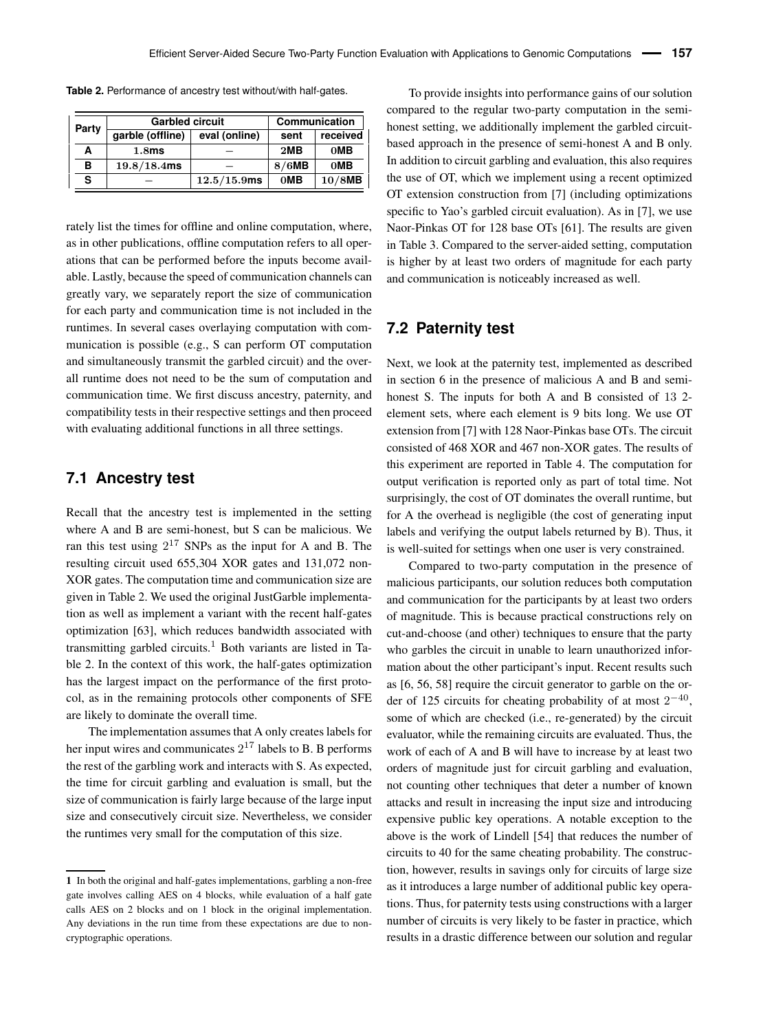<span id="page-13-0"></span>**Table 2.** Performance of ancestry test without/with half-gates.

| Party | <b>Garbled circuit</b> |                | Communication |          |  |
|-------|------------------------|----------------|---------------|----------|--|
|       | garble (offline)       | eval (online)  | sent          | received |  |
| А     | 1.8 <sub>ms</sub>      |                | 2MB           | 0MB      |  |
| в     | $19.8/18.4$ ms         |                | 8/6MB         | 0MB      |  |
| s     |                        | $12.5/15.9$ ms | 0MB           | 10/8MB   |  |

rately list the times for offline and online computation, where, as in other publications, offline computation refers to all operations that can be performed before the inputs become available. Lastly, because the speed of communication channels can greatly vary, we separately report the size of communication for each party and communication time is not included in the runtimes. In several cases overlaying computation with communication is possible (e.g., S can perform OT computation and simultaneously transmit the garbled circuit) and the overall runtime does not need to be the sum of computation and communication time. We first discuss ancestry, paternity, and compatibility tests in their respective settings and then proceed with evaluating additional functions in all three settings.

#### **7.1 Ancestry test**

Recall that the ancestry test is implemented in the setting where A and B are semi-honest, but S can be malicious. We ran this test using  $2^{17}$  SNPs as the input for A and B. The resulting circuit used 655,304 XOR gates and 131,072 non-XOR gates. The computation time and communication size are given in Table [2.](#page-13-0) We used the original JustGarble implementation as well as implement a variant with the recent half-gates optimization [\[63\]](#page-18-27), which reduces bandwidth associated with transmitting garbled circuits.<sup>[1](#page-0-0)</sup> Both variants are listed in Table [2.](#page-13-0) In the context of this work, the half-gates optimization has the largest impact on the performance of the first protocol, as in the remaining protocols other components of SFE are likely to dominate the overall time.

The implementation assumes that A only creates labels for her input wires and communicates  $2^{17}$  labels to B. B performs the rest of the garbling work and interacts with S. As expected, the time for circuit garbling and evaluation is small, but the size of communication is fairly large because of the large input size and consecutively circuit size. Nevertheless, we consider the runtimes very small for the computation of this size.

To provide insights into performance gains of our solution compared to the regular two-party computation in the semihonest setting, we additionally implement the garbled circuitbased approach in the presence of semi-honest A and B only. In addition to circuit garbling and evaluation, this also requires the use of OT, which we implement using a recent optimized OT extension construction from [\[7\]](#page-16-8) (including optimizations specific to Yao's garbled circuit evaluation). As in [\[7\]](#page-16-8), we use Naor-Pinkas OT for 128 base OTs [\[61\]](#page-18-18). The results are given in Table [3.](#page-14-0) Compared to the server-aided setting, computation is higher by at least two orders of magnitude for each party and communication is noticeably increased as well.

#### <span id="page-13-1"></span>**7.2 Paternity test**

Next, we look at the paternity test, implemented as described in section [6](#page-11-0) in the presence of malicious A and B and semihonest S. The inputs for both A and B consisted of 13 2 element sets, where each element is 9 bits long. We use OT extension from [\[7\]](#page-16-8) with 128 Naor-Pinkas base OTs. The circuit consisted of 468 XOR and 467 non-XOR gates. The results of this experiment are reported in Table [4.](#page-14-1) The computation for output verification is reported only as part of total time. Not surprisingly, the cost of OT dominates the overall runtime, but for A the overhead is negligible (the cost of generating input labels and verifying the output labels returned by B). Thus, it is well-suited for settings when one user is very constrained.

Compared to two-party computation in the presence of malicious participants, our solution reduces both computation and communication for the participants by at least two orders of magnitude. This is because practical constructions rely on cut-and-choose (and other) techniques to ensure that the party who garbles the circuit in unable to learn unauthorized information about the other participant's input. Recent results such as [\[6,](#page-16-9) [56,](#page-18-28) [58\]](#page-18-29) require the circuit generator to garble on the order of 125 circuits for cheating probability of at most  $2^{-40}$ , some of which are checked (i.e., re-generated) by the circuit evaluator, while the remaining circuits are evaluated. Thus, the work of each of A and B will have to increase by at least two orders of magnitude just for circuit garbling and evaluation, not counting other techniques that deter a number of known attacks and result in increasing the input size and introducing expensive public key operations. A notable exception to the above is the work of Lindell [\[54\]](#page-18-30) that reduces the number of circuits to 40 for the same cheating probability. The construction, however, results in savings only for circuits of large size as it introduces a large number of additional public key operations. Thus, for paternity tests using constructions with a larger number of circuits is very likely to be faster in practice, which results in a drastic difference between our solution and regular

<sup>1</sup> In both the original and half-gates implementations, garbling a non-free gate involves calling AES on 4 blocks, while evaluation of a half gate calls AES on 2 blocks and on 1 block in the original implementation. Any deviations in the run time from these expectations are due to noncryptographic operations.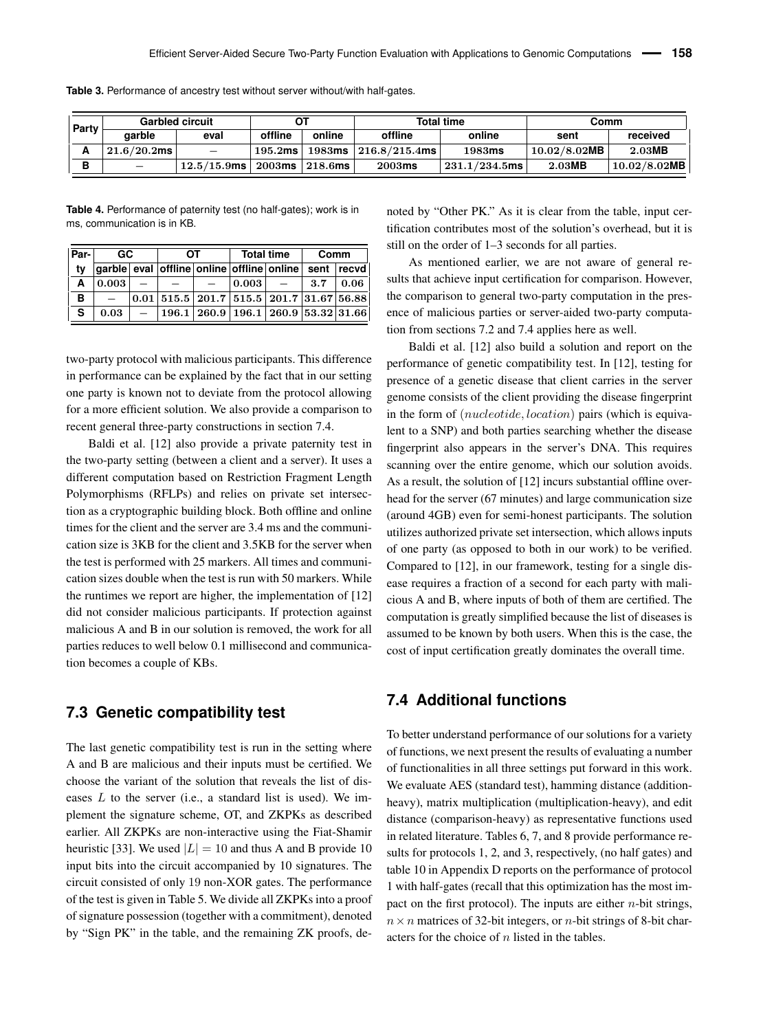| Party    | <b>Garbled circuit</b>    | ΟТ                       |                     |                       | <b>Total time</b> | Comm             |                 |                 |
|----------|---------------------------|--------------------------|---------------------|-----------------------|-------------------|------------------|-----------------|-----------------|
|          | aarble                    | eval                     |                     | online                | offline           | online           | sent            | received        |
| <u>n</u> | $\mid$ 21.6/20.2ms $\mid$ | $\overline{\phantom{m}}$ | 195.2 <sub>ms</sub> | 1983ms                | $1216.8/215.4$ ms | 1983ms           | $10.02/8.02$ MB | 2.03MB          |
| в<br>D   | $\qquad \qquad$           | $12.5/15.9$ ms           |                     | $2003$ ms $ 218.6$ ms | 2003ms            | $231.1/234.5$ ms | 2.03MB          | $10.02/8.02$ MB |

<span id="page-14-0"></span>**Table 3.** Performance of ancestry test without server without/with half-gates.

<span id="page-14-1"></span>**Table 4.** Performance of paternity test (no half-gates); work is in ms, communication is in KB.

| Par-l | GC.   |  | OТ                                                                                       |       | <b>Total time</b> | Comm |              |  |
|-------|-------|--|------------------------------------------------------------------------------------------|-------|-------------------|------|--------------|--|
| tv    |       |  | garble eval offline online offline online                                                |       |                   | sent | <b>recvd</b> |  |
| A     | 0.003 |  |                                                                                          | 0.003 | $\sim$            | 3.7  | 0.06         |  |
| в     |       |  | $\vert 0.01 \vert$ 515.5 $\vert 201.7 \vert$ 515.5 $\vert 201.7 \vert 31.67 \vert 56.88$ |       |                   |      |              |  |
| s     | 0.03  |  | $196.1   260.9   196.1   260.9   53.32   31.66$                                          |       |                   |      |              |  |

two-party protocol with malicious participants. This difference in performance can be explained by the fact that in our setting one party is known not to deviate from the protocol allowing for a more efficient solution. We also provide a comparison to recent general three-party constructions in section [7.4.](#page-14-2)

Baldi et al. [\[12\]](#page-17-0) also provide a private paternity test in the two-party setting (between a client and a server). It uses a different computation based on Restriction Fragment Length Polymorphisms (RFLPs) and relies on private set intersection as a cryptographic building block. Both offline and online times for the client and the server are 3.4 ms and the communication size is 3KB for the client and 3.5KB for the server when the test is performed with 25 markers. All times and communication sizes double when the test is run with 50 markers. While the runtimes we report are higher, the implementation of [\[12\]](#page-17-0) did not consider malicious participants. If protection against malicious A and B in our solution is removed, the work for all parties reduces to well below 0.1 millisecond and communication becomes a couple of KBs.

#### **7.3 Genetic compatibility test**

The last genetic compatibility test is run in the setting where A and B are malicious and their inputs must be certified. We choose the variant of the solution that reveals the list of diseases *L* to the server (i.e., a standard list is used). We implement the signature scheme, OT, and ZKPKs as described earlier. All ZKPKs are non-interactive using the Fiat-Shamir heuristic [\[33\]](#page-18-31). We used  $|L| = 10$  and thus A and B provide 10 input bits into the circuit accompanied by 10 signatures. The circuit consisted of only 19 non-XOR gates. The performance of the test is given in Table [5.](#page-15-0) We divide all ZKPKs into a proof of signature possession (together with a commitment), denoted by "Sign PK" in the table, and the remaining ZK proofs, denoted by "Other PK." As it is clear from the table, input certification contributes most of the solution's overhead, but it is still on the order of 1–3 seconds for all parties.

As mentioned earlier, we are not aware of general results that achieve input certification for comparison. However, the comparison to general two-party computation in the presence of malicious parties or server-aided two-party computation from sections [7.2](#page-13-1) and [7.4](#page-14-2) applies here as well.

Baldi et al. [\[12\]](#page-17-0) also build a solution and report on the performance of genetic compatibility test. In [\[12\]](#page-17-0), testing for presence of a genetic disease that client carries in the server genome consists of the client providing the disease fingerprint in the form of (*nucleotide, location*) pairs (which is equivalent to a SNP) and both parties searching whether the disease fingerprint also appears in the server's DNA. This requires scanning over the entire genome, which our solution avoids. As a result, the solution of [\[12\]](#page-17-0) incurs substantial offline overhead for the server (67 minutes) and large communication size (around 4GB) even for semi-honest participants. The solution utilizes authorized private set intersection, which allows inputs of one party (as opposed to both in our work) to be verified. Compared to [\[12\]](#page-17-0), in our framework, testing for a single disease requires a fraction of a second for each party with malicious A and B, where inputs of both of them are certified. The computation is greatly simplified because the list of diseases is assumed to be known by both users. When this is the case, the cost of input certification greatly dominates the overall time.

#### <span id="page-14-2"></span>**7.4 Additional functions**

To better understand performance of our solutions for a variety of functions, we next present the results of evaluating a number of functionalities in all three settings put forward in this work. We evaluate AES (standard test), hamming distance (additionheavy), matrix multiplication (multiplication-heavy), and edit distance (comparison-heavy) as representative functions used in related literature. Tables [6,](#page-16-10) [7,](#page-16-5) and [8](#page-17-19) provide performance results for protocols 1, 2, and 3, respectively, (no half gates) and table [10](#page-20-1) in Appendix [D](#page-20-2) reports on the performance of protocol 1 with half-gates (recall that this optimization has the most impact on the first protocol). The inputs are either *n*-bit strings,  $n \times n$  matrices of 32-bit integers, or *n*-bit strings of 8-bit characters for the choice of *n* listed in the tables.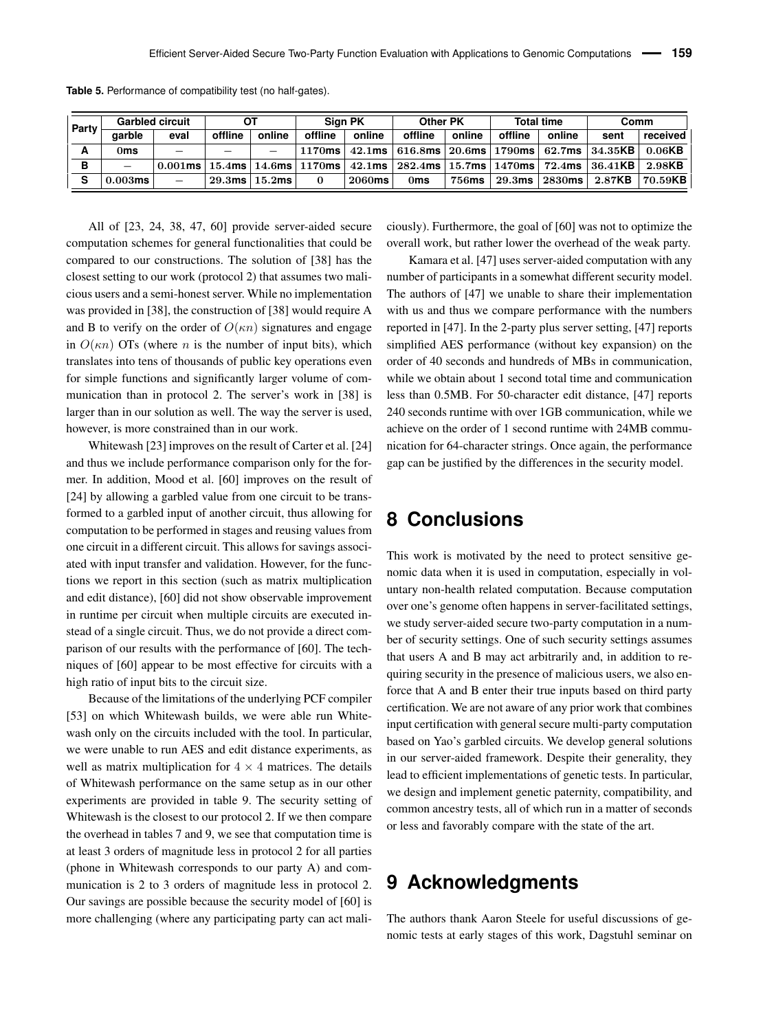| Party | <b>Garbled circuit</b>   |                          | OТ      |                    | Sian PK |        | Other PK                                                                                   |              | <b>Total time</b>  |        | Comm   |           |
|-------|--------------------------|--------------------------|---------|--------------------|---------|--------|--------------------------------------------------------------------------------------------|--------------|--------------------|--------|--------|-----------|
|       | aarble                   | eval                     | offline | online             | offline | online | offline                                                                                    | online       | offline            | online | sent   | received  |
| А     | 0ms                      | $\overline{\phantom{m}}$ |         |                    |         |        | 1170ms $ 42.1$ ms $ 616.8$ ms $ 20.6$ ms $ 1790$ ms $ 62.7$ ms $ 34.35$ KB                 |              |                    |        |        | $0.06$ KB |
| в     | $\overline{\phantom{m}}$ |                          |         |                    |         |        | 0.001ms   15.4ms   14.6ms   1170ms   42.1ms   282.4ms   15.7ms   1470ms   72.4ms   36.41KB |              |                    |        |        | 2.98KB    |
| ົ     | 0.003ms                  |                          |         | $29.3m$ s   15.2ms | 0       | 2060ms | 0 <sub>ms</sub>                                                                            | <b>756ms</b> | 29.3 <sub>ms</sub> | 2830ms | 2.87KB | 70.59KB   |

<span id="page-15-0"></span>**Table 5.** Performance of compatibility test (no half-gates).

All of [\[23,](#page-17-8) [24,](#page-17-7) [38,](#page-18-1) [47,](#page-18-2) [60\]](#page-18-5) provide server-aided secure computation schemes for general functionalities that could be compared to our constructions. The solution of [\[38\]](#page-18-1) has the closest setting to our work (protocol 2) that assumes two malicious users and a semi-honest server. While no implementation was provided in [\[38\]](#page-18-1), the construction of [\[38\]](#page-18-1) would require A and B to verify on the order of  $O(\kappa n)$  signatures and engage in  $O(\kappa n)$  OTs (where *n* is the number of input bits), which translates into tens of thousands of public key operations even for simple functions and significantly larger volume of communication than in protocol 2. The server's work in [\[38\]](#page-18-1) is larger than in our solution as well. The way the server is used, however, is more constrained than in our work.

Whitewash [\[23\]](#page-17-8) improves on the result of Carter et al. [\[24\]](#page-17-7) and thus we include performance comparison only for the former. In addition, Mood et al. [\[60\]](#page-18-5) improves on the result of [\[24\]](#page-17-7) by allowing a garbled value from one circuit to be transformed to a garbled input of another circuit, thus allowing for computation to be performed in stages and reusing values from one circuit in a different circuit. This allows for savings associated with input transfer and validation. However, for the functions we report in this section (such as matrix multiplication and edit distance), [\[60\]](#page-18-5) did not show observable improvement in runtime per circuit when multiple circuits are executed instead of a single circuit. Thus, we do not provide a direct comparison of our results with the performance of [\[60\]](#page-18-5). The techniques of [\[60\]](#page-18-5) appear to be most effective for circuits with a high ratio of input bits to the circuit size.

Because of the limitations of the underlying PCF compiler [\[53\]](#page-18-32) on which Whitewash builds, we were able run Whitewash only on the circuits included with the tool. In particular, we were unable to run AES and edit distance experiments, as well as matrix multiplication for  $4 \times 4$  matrices. The details of Whitewash performance on the same setup as in our other experiments are provided in table [9.](#page-17-20) The security setting of Whitewash is the closest to our protocol 2. If we then compare the overhead in tables [7](#page-16-5) and [9,](#page-17-20) we see that computation time is at least 3 orders of magnitude less in protocol 2 for all parties (phone in Whitewash corresponds to our party A) and communication is 2 to 3 orders of magnitude less in protocol 2. Our savings are possible because the security model of [\[60\]](#page-18-5) is more challenging (where any participating party can act maliciously). Furthermore, the goal of [\[60\]](#page-18-5) was not to optimize the overall work, but rather lower the overhead of the weak party.

Kamara et al. [\[47\]](#page-18-2) uses server-aided computation with any number of participants in a somewhat different security model. The authors of [\[47\]](#page-18-2) we unable to share their implementation with us and thus we compare performance with the numbers reported in [\[47\]](#page-18-2). In the 2-party plus server setting, [\[47\]](#page-18-2) reports simplified AES performance (without key expansion) on the order of 40 seconds and hundreds of MBs in communication, while we obtain about 1 second total time and communication less than 0.5MB. For 50-character edit distance, [\[47\]](#page-18-2) reports 240 seconds runtime with over 1GB communication, while we achieve on the order of 1 second runtime with 24MB communication for 64-character strings. Once again, the performance gap can be justified by the differences in the security model.

## **8 Conclusions**

This work is motivated by the need to protect sensitive genomic data when it is used in computation, especially in voluntary non-health related computation. Because computation over one's genome often happens in server-facilitated settings, we study server-aided secure two-party computation in a number of security settings. One of such security settings assumes that users A and B may act arbitrarily and, in addition to requiring security in the presence of malicious users, we also enforce that A and B enter their true inputs based on third party certification. We are not aware of any prior work that combines input certification with general secure multi-party computation based on Yao's garbled circuits. We develop general solutions in our server-aided framework. Despite their generality, they lead to efficient implementations of genetic tests. In particular, we design and implement genetic paternity, compatibility, and common ancestry tests, all of which run in a matter of seconds or less and favorably compare with the state of the art.

# **9 Acknowledgments**

The authors thank Aaron Steele for useful discussions of genomic tests at early stages of this work, Dagstuhl seminar on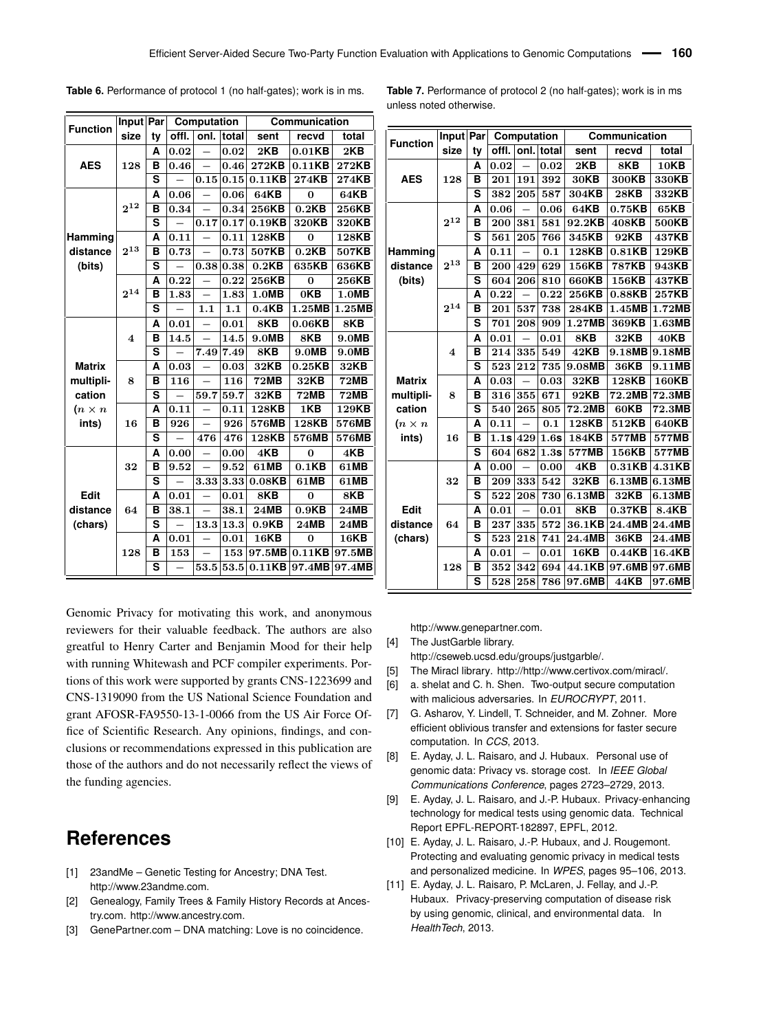<span id="page-16-10"></span>

|  | <b>Table 6.</b> Performance of protocol 1 (no half-gates); work is in ms. |  |  |  |  |  |  |
|--|---------------------------------------------------------------------------|--|--|--|--|--|--|
|--|---------------------------------------------------------------------------|--|--|--|--|--|--|

| <b>Function</b> | Input Par               |                         |       | Computation              |       |                    |                    | Communication    |  |  |  |
|-----------------|-------------------------|-------------------------|-------|--------------------------|-------|--------------------|--------------------|------------------|--|--|--|
|                 | size                    | ty                      | offl. | onl.                     | total | sent               | recvd              | total            |  |  |  |
|                 |                         | A                       | 0.02  |                          | 0.02  | 2KB                | $0.01$ KB          | 2KB              |  |  |  |
| <b>AES</b>      | 128                     | B                       | 0.46  |                          | 0.46  | 272KB              | $0.11$ KB          | 272KB            |  |  |  |
|                 |                         | S                       |       | 0.15                     | 0.15  | $0.11$ KB          | 274KB              | 274KB            |  |  |  |
|                 |                         | A                       | 0.06  |                          | 0.06  | 64KB               | $\bf{0}$           | 64KB             |  |  |  |
|                 | $2^{12}$                | B                       | 0.34  |                          | 0.34  | 256KB              | 0.2 <sub>K</sub> B | 256KB            |  |  |  |
|                 |                         | s                       |       | 0.17                     | 0.17  | 0.19 <sub>KB</sub> | 320KB              | 320KB            |  |  |  |
| Hamming         |                         | A                       | 0.11  |                          | 0.11  | 128KB              | $\bf{0}$           | 128KB            |  |  |  |
| distance        | $2^{13}$                | B                       | 0.73  |                          | 0.73  | 507KB              | $0.2$ KB           | 507KB            |  |  |  |
| (bits)          |                         | $\overline{\mathbf{s}}$ |       | 0.38                     | 0.38  | 0.2 <sub>K</sub> B | 635KB              | 636KB            |  |  |  |
|                 |                         | A                       | 0.22  |                          | 0.22  | 256KB              | $\bf{0}$           | 256KB            |  |  |  |
|                 | $2^{14}$                | B                       | 1.83  |                          | 1.83  | 1.0MB              | 0KB                | 1.0MB            |  |  |  |
|                 |                         | $\overline{\mathbf{s}}$ |       | 1.1                      | 1.1   | 0.4 <sub>KB</sub>  | 1.25MB             | 1.25MB           |  |  |  |
|                 |                         | A                       | 0.01  |                          | 0.01  | 8KB                | $0.06$ KB          | 8KB              |  |  |  |
|                 | $\overline{\mathbf{4}}$ | B                       | 14.5  |                          | 14.5  | 9.0MB              | 8KB                | 9.0MB            |  |  |  |
|                 |                         | S                       |       | 7.49                     | 7.49  | 8KB                | 9.0MB              | 9.0MB            |  |  |  |
| <b>Matrix</b>   |                         | A                       | 0.03  |                          | 0.03  | 32KB               | $0.25$ KB          | 32KB             |  |  |  |
| multipli-       | 8                       | B                       | 116   |                          | 116   | <b>72MB</b>        | 32KB               | <b>72MB</b>      |  |  |  |
| cation          |                         | S                       |       | 59.7                     | 59.7  | 32KB               | <b>72MB</b>        | <b>72MB</b>      |  |  |  |
| $(n \times n)$  |                         | A                       | 0.11  |                          | 0.11  | 128KB              | 1KB                | 129KB            |  |  |  |
| ints)           | 16                      | В                       | 926   |                          | 926   | 576MB              | 128KB              | 576MB            |  |  |  |
|                 |                         | S                       |       | 476                      | 476   | 128KB              | 576MB              | 576MB            |  |  |  |
|                 |                         | A                       | 0.00  | $\overline{\phantom{0}}$ | 0.00  | 4KB                | $\bf{0}$           | 4KB              |  |  |  |
|                 | 32                      | B                       | 9.52  |                          | 9.52  | 61MB               | 0.1 <sub>KB</sub>  | 61MB             |  |  |  |
|                 |                         | $\overline{\mathbf{s}}$ |       | 3.33                     | 3.33  | $0.08$ KB          | 61MB               | 61MB             |  |  |  |
| <b>Edit</b>     |                         | A                       | 0.01  |                          | 0.01  | 8KB                | $\bf{0}$           | 8KB              |  |  |  |
| distance        | 64                      | В                       | 38.1  |                          | 38.1  | 24MB               | 0.9 <sub>K</sub> B | 24MB             |  |  |  |
| (chars)         |                         | $\overline{\mathbf{s}}$ |       | 13.3                     | 13.3  | 0.9 <sub>K</sub> B | 24MB               | 24MB             |  |  |  |
|                 |                         | A                       | 0.01  |                          | 0.01  | 16KB               | $\bf{0}$           | 16KB             |  |  |  |
|                 | 128                     | В                       | 153   |                          | 153   | 97.5MB             |                    | $0.11$ KB 97.5MB |  |  |  |
|                 |                         | $\overline{\mathsf{s}}$ |       | 53.5                     | 53.5  | $0.11$ KB          |                    | 97.4MB 97.4MB    |  |  |  |

Genomic Privacy for motivating this work, and anonymous reviewers for their valuable feedback. The authors are also greatful to Henry Carter and Benjamin Mood for their help with running Whitewash and PCF compiler experiments. Portions of this work were supported by grants CNS-1223699 and CNS-1319090 from the US National Science Foundation and grant AFOSR-FA9550-13-1-0066 from the US Air Force Office of Scientific Research. Any opinions, findings, and conclusions or recommendations expressed in this publication are those of the authors and do not necessarily reflect the views of the funding agencies.

## **References**

- <span id="page-16-0"></span>[1] 23andMe – Genetic Testing for Ancestry; DNA Test. http://www.23andme.com.
- [2] Genealogy, Family Trees & Family History Records at Ancestry.com. http://www.ancestry.com.
- <span id="page-16-1"></span>[3] GenePartner.com - DNA matching: Love is no coincidence.

<span id="page-16-5"></span>**Table 7.** Performance of protocol 2 (no half-gates); work is in ms unless noted otherwise.

| <b>Function</b> | Input Par |                         |       | Computation |            |             | Communication      |        |
|-----------------|-----------|-------------------------|-------|-------------|------------|-------------|--------------------|--------|
|                 | size      | ty                      | offl. |             | onl. total | sent        | recvd              | total  |
|                 |           | A                       | 0.02  |             | 0.02       | 2KB         | 8KB                | 10KB   |
| <b>AES</b>      | 128       | B                       | 201   | 191         | 392        | <b>30KB</b> | 300KB              | 330KB  |
|                 |           | S                       | 382   | 205         | 587        | 304KB       | <b>28KB</b>        | 332KB  |
|                 |           | Α                       | 0.06  |             | 0.06       | 64KB        | 0.75KB             | 65KB   |
|                 | $2^{12}$  | B                       | 200   | 381         | 581        | 92.2KB      | 408KB              | 500KB  |
|                 |           | s                       | 561   | 205         | 766        | 345KB       | 92KB               | 437KB  |
| Hamming         |           | Α                       | 0.11  |             | 0.1        | 128KB       | $0.81$ KB          | 129KB  |
| distance        | $2^{13}$  | B                       | 200   | 429         | 629        | 156KB       | <b>787KB</b>       | 943KB  |
| (bits)          |           | S                       | 604   | 206         | 810        | 660KB       | 156KB              | 437KB  |
|                 |           | Α                       | 0.22  |             | 0.22       | 256KB       | 0.88 <sub>KB</sub> | 257KB  |
|                 | $2^{14}$  | B                       | 201   | 537         | 738        | 284KB       | 1.45MB             | 1.72MB |
|                 |           | S                       | 701   | 208         | 909        | 1.27MB      | 369KB              | 1.63MB |
|                 |           | Α                       | 0.01  |             | 0.01       | 8KB         | 32KB               | 40KB   |
|                 | 4         | B                       | 214   | 335         | 549        | 42KB        | 9.18MB             | 9.18MB |
|                 |           | S                       | 523   | 212         | 735        | 9.08MB      | 36KB               | 9.11MB |
| <b>Matrix</b>   |           | A                       | 0.03  |             | 0.03       | 32KB        | 128KB              | 160KB  |
| multipli-       | 8         | B                       | 316   | 355         | 671        | 92KB        | 72.2MB             | 72.3MB |
| cation          |           | s                       | 540   | 265         | 805        | 72.2MB      | 60KB               | 72.3MB |
| $(n \times n)$  |           | A                       | 0.11  |             | 0.1        | 128KB       | 512KB              | 640KB  |
| ints)           | 16        | B                       | 1.1s  | 429         | 1.6s       | 184KB       | 577MB              | 577MB  |
|                 |           | $\overline{\mathsf{s}}$ | 604   | 682         | 1.3s       | 577MB       | 156KB              | 577MB  |
|                 |           | A                       | 0.00  |             | 0.00       | 4KB         | $0.31$ KB          | 4.31KB |
|                 | 32        | B                       | 209   | 333         | 542        | 32KB        | 6.13MB             | 6.13MB |
|                 |           | s                       | 522   | 208         | 730        | 6.13MB      | 32KB               | 6.13MB |
| <b>Edit</b>     |           | A                       | 0.01  |             | 0.01       | 8KB         | 0.37KB             | 8.4KB  |
| distance        | 64        | B                       | 237   | 335         | 572        | 36.1KB      | 24.4MB             | 24.4MB |
| (chars)         |           | s                       | 523   | 218         | 741        | 24.4MB      | 36KB               | 24.4MB |
|                 |           | A                       | 0.01  |             | 0.01       | 16KB        | $0.44$ KB          | 16.4KB |
|                 | 128       | B                       | 352   | 342         | 694        | 44.1KB      | 97.6MB             | 97.6MB |
|                 |           | S                       | 528   | 258         | 786        | 97.6MB      | 44KB               | 97.6MB |

http://www.genepartner.com.

- <span id="page-16-7"></span>[4] The JustGarble library.
	- http://cseweb.ucsd.edu/groups/justgarble/.
- <span id="page-16-6"></span>[5] The Miracl library. http://http://www.certivox.com/miracl/.
- <span id="page-16-9"></span>[6] a. shelat and C. h. Shen. Two-output secure computation with malicious adversaries. In *EUROCRYPT*, 2011.
- <span id="page-16-8"></span>[7] G. Asharov, Y. Lindell, T. Schneider, and M. Zohner. More efficient oblivious transfer and extensions for faster secure computation. In *CCS*, 2013.
- <span id="page-16-4"></span>[8] E. Ayday, J. L. Raisaro, and J. Hubaux. Personal use of genomic data: Privacy vs. storage cost. In *IEEE Global Communications Conference*, pages 2723–2729, 2013.
- <span id="page-16-2"></span>[9] E. Ayday, J. L. Raisaro, and J.-P. Hubaux. Privacy-enhancing technology for medical tests using genomic data. Technical Report EPFL-REPORT-182897, EPFL, 2012.
- [10] E. Ayday, J. L. Raisaro, J.-P. Hubaux, and J. Rougemont. Protecting and evaluating genomic privacy in medical tests and personalized medicine. In *WPES*, pages 95–106, 2013.
- <span id="page-16-3"></span>[11] E. Ayday, J. L. Raisaro, P. McLaren, J. Fellay, and J.-P. Hubaux. Privacy-preserving computation of disease risk by using genomic, clinical, and environmental data. In *HealthTech*, 2013.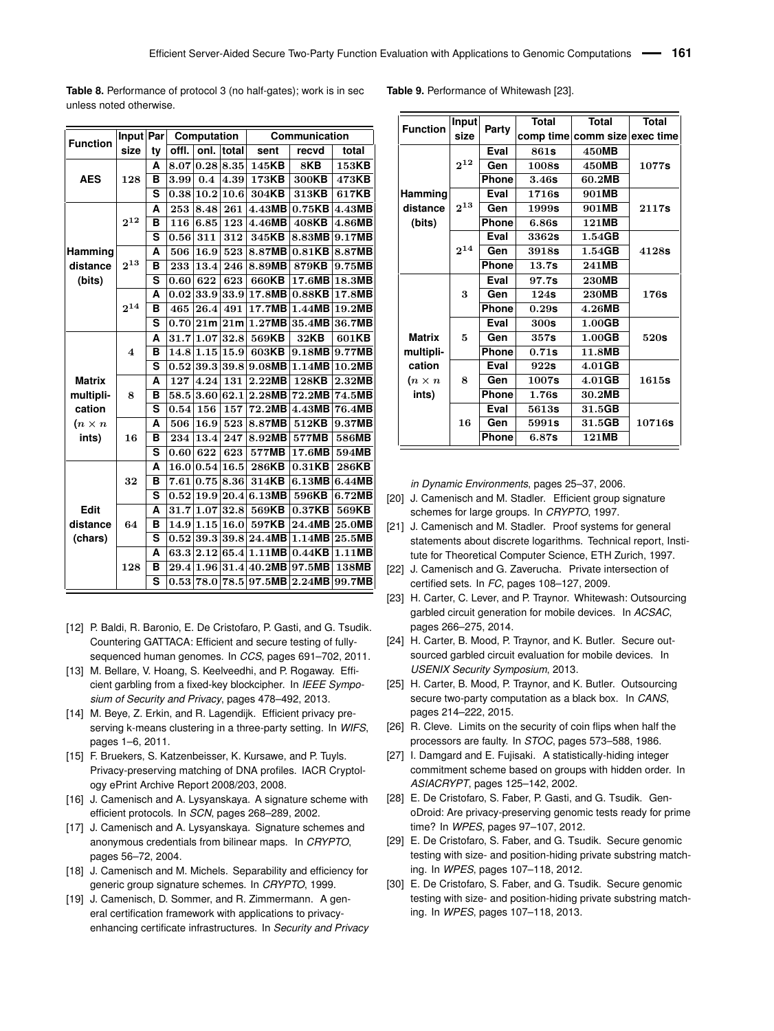<span id="page-17-19"></span>**Table 8.** Performance of protocol 3 (no half-gates); work is in sec unless noted otherwise.

| <b>Function</b> | Input Par               |    |       | Computation |       |                  | Communication |        |
|-----------------|-------------------------|----|-------|-------------|-------|------------------|---------------|--------|
|                 | size                    | ty | offl. | onl.        | total | sent             | recvd         | total  |
|                 |                         | A  | 8.07  | 0.28        | 8.35  | 145KB            | 8KB           | 153KB  |
| <b>AES</b>      | 128                     | В  | 3.99  | 0.4         | 4.39  | 173KB            | 300KB         | 473KB  |
|                 |                         | S  | 0.38  | 10.2        | 10.6  | 304KB            | 313KB         | 617KB  |
|                 |                         | A  | 253   | 8.48        | 261   | 4.43MB           | $0.75$ KB     | 4.43MB |
|                 | $2^{12}$                | В  | 116   | 6.85        | 123   | 4.46MB           | 408KB         | 4.86MB |
|                 |                         | S  | 0.56  | 311         | 312   | 345KB            | 8.83MB        | 9.17MB |
| Hamming         |                         | A  | 506   | 16.9        | 523   | 8.87MB           | $0.81$ KB     | 8.87MB |
| distance        | $2^{13}$                | В  | 233   | 13.4        | 246   | 8.89MB           | 879KB         | 9.75MB |
| (bits)          |                         | S  | 0.60  | 622         | 623   | 660KB            | 17.6MB        | 18.3MB |
|                 |                         | A  | 0.02  | 33.9        | 33.9  | 17.8MB           | $0.88$ KB     | 17.8MB |
|                 | $2^{14}$                | в  | 465   | 26.4        | 491   | 17.7MB           | 1.44MB        | 19.2MB |
|                 |                         | S  | 0.70  | 21m         | 21m   | 1.27MB           | 35.4MB        | 36.7MB |
|                 |                         | A  | 31.7  | 1.07        | 32.8  | 569KB            | 32KB          | 601KB  |
|                 | $\overline{\mathbf{4}}$ | в  | 14.8  | 1.15        | 15.9  | 603KB            | 9.18MB        | 9.77MB |
|                 |                         | S  | 0.52  | 39.3        | 39.8  | 9.08MB           | 1.14MB        | 10.2MB |
| <b>Matrix</b>   |                         | A  | 127   | 4.24        | 131   | 2.22MB           | 128KB         | 2.32MB |
| multipli-       | 8                       | В  | 58.5  | 3.60        | 62.1  | 2.28MB           | 72.2MB        | 74.5MB |
| cation          |                         | s  | 0.54  | 156         | 157   | 72.2MB           | 4.43MB        | 76.4MB |
| $(n \times n)$  |                         | A  | 506   | 16.9        | 523   | 8.87MB           | 512KB         | 9.37MB |
| ints)           | 16                      | B  | 234   | 13.4        | 247   | 8.92MB           | 577MB         | 586MB  |
|                 |                         | S  | 0.60  | 622         | 623   | 577MB            | 17.6MB        | 594MB  |
|                 |                         | A  |       | 16.0 0.54   | 16.5  | 286KB            | $0.31$ KB     | 286KB  |
|                 | 32                      | B  | 7.61  | 0.75        | 8.36  | 314KB            | 6.13MB        | 6.44MB |
|                 |                         | S  | 0.52  | 19.9        | 20.4  | 6.13MB           | 596KB         | 6.72MB |
| <b>Edit</b>     |                         | A  | 31.7  | 1.07        | 32.8  | 569KB            | 0.37KB        | 569KB  |
| distance        | 64                      | B  | 14.9  | 1.15        | 16.0  | 597KB            | 24.4MB        | 25.0MB |
| (chars)         |                         | S  | 0.52  | 39.3        | 39.8  | 24.4MB           | 1.14MB        | 25.5MB |
|                 |                         | A  | 63.3  | 2.12        | 65.4  | 1.11MB           | $0.44$ KB     | 1.11MB |
|                 | 128                     | B  | 29.4  |             |       | 1.96 31.4 40.2MB | 97.5MB        | 138MB  |
|                 |                         | S  | 0.53  | 78.0        | 78.5  | 97.5MB           | 2.24MB        | 99.7MB |

- <span id="page-17-0"></span>[12] P. Baldi, R. Baronio, E. De Cristofaro, P. Gasti, and G. Tsudik. Countering GATTACA: Efficient and secure testing of fullysequenced human genomes. In *CCS*, pages 691–702, 2011.
- <span id="page-17-12"></span>[13] M. Bellare, V. Hoang, S. Keelveedhi, and P. Rogaway. Efficient garbling from a fixed-key blockcipher. In *IEEE Symposium of Security and Privacy*, pages 478–492, 2013.
- <span id="page-17-6"></span>[14] M. Beye, Z. Erkin, and R. Lagendijk. Efficient privacy preserving k-means clustering in a three-party setting. In *WIFS*, pages 1–6, 2011.
- <span id="page-17-1"></span>[15] F. Bruekers, S. Katzenbeisser, K. Kursawe, and P. Tuyls. Privacy-preserving matching of DNA profiles. IACR Cryptology ePrint Archive Report 2008/203, 2008.
- <span id="page-17-13"></span>[16] J. Camenisch and A. Lysyanskaya. A signature scheme with efficient protocols. In *SCN*, pages 268–289, 2002.
- <span id="page-17-14"></span>[17] J. Camenisch and A. Lysyanskaya. Signature schemes and anonymous credentials from bilinear maps. In *CRYPTO*, pages 56–72, 2004.
- <span id="page-17-17"></span>[18] J. Camenisch and M. Michels. Separability and efficiency for generic group signature schemes. In *CRYPTO*, 1999.
- <span id="page-17-4"></span>[19] J. Camenisch, D. Sommer, and R. Zimmermann. A general certification framework with applications to privacyenhancing certificate infrastructures. In *Security and Privacy*

<span id="page-17-20"></span>**Table 9.** Performance of Whitewash [\[23\]](#page-17-8).

| <b>Function</b> | Input    |              | <b>Total</b> | <b>Total</b>                  | <b>Total</b> |
|-----------------|----------|--------------|--------------|-------------------------------|--------------|
|                 | size     | Party        |              | comp time comm size exec time |              |
|                 |          | Eval         | 861s         | 450MB                         |              |
|                 | $2^{12}$ | Gen          | 1008s        | 450MB                         | 1077s        |
|                 |          | <b>Phone</b> | 3.46s        | 60.2MB                        |              |
| Hamming         |          | Eval         | 1716s        | 901MB                         |              |
| distance        | $2^{13}$ | Gen          | 1999s        | 901MB                         | 2117s        |
| (bits)          |          | <b>Phone</b> | 6.86s        | 121MB                         |              |
|                 |          | Eval         | 3362s        | 1.54GB                        |              |
|                 | $2^{14}$ | Gen          | 3918s        | 1.54GB                        | 4128s        |
|                 |          | Phone        | 13.7s        | 241MB                         |              |
|                 |          | Eval         | 97.7s        | 230MB                         |              |
|                 | 3        | Gen          | 124s         | 230MB                         | 176s         |
|                 |          | Phone        | 0.29s        | 4.26MB                        |              |
|                 |          | Eval         | 300s         | $1.00$ GB                     |              |
| <b>Matrix</b>   | 5        | Gen          | 357s         | $1.00$ GB                     | 520s         |
| multipli-       |          | <b>Phone</b> | 0.71s        | 11.8MB                        |              |
| cation          |          | Eval         | 922s         | $4.01$ GB                     |              |
| $(n \times n)$  | 8        | Gen          | 1007s        | $4.01$ GB                     | <b>1615s</b> |
| ints)           |          | Phone        | 1.76s        | 30.2MB                        |              |
|                 |          | Eval         | 5613s        | 31.5GB                        |              |
|                 | 16       | Gen          | 5991s        | 31.5GB                        | 10716s       |
|                 |          | Phone        | 6.87s        | 121MB                         |              |

*in Dynamic Environments*, pages 25–37, 2006.

- <span id="page-17-16"></span>[20] J. Camenisch and M. Stadler. Efficient group signature schemes for large groups. In *CRYPTO*, 1997.
- <span id="page-17-18"></span>[21] J. Camenisch and M. Stadler. Proof systems for general statements about discrete logarithms. Technical report, Institute for Theoretical Computer Science, ETH Zurich, 1997.
- <span id="page-17-3"></span>[22] J. Camenisch and G. Zaverucha. Private intersection of certified sets. In *FC*, pages 108–127, 2009.
- <span id="page-17-8"></span>[23] H. Carter, C. Lever, and P. Traynor. Whitewash: Outsourcing garbled circuit generation for mobile devices. In *ACSAC*, pages 266–275, 2014.
- <span id="page-17-7"></span>[24] H. Carter, B. Mood, P. Traynor, and K. Butler. Secure outsourced garbled circuit evaluation for mobile devices. In *USENIX Security Symposium*, 2013.
- <span id="page-17-9"></span>[25] H. Carter, B. Mood, P. Traynor, and K. Butler. Outsourcing secure two-party computation as a black box. In *CANS*, pages 214–222, 2015.
- <span id="page-17-5"></span>[26] R. Cleve. Limits on the security of coin flips when half the processors are faulty. In *STOC*, pages 573–588, 1986.
- <span id="page-17-15"></span>[27] I. Damgard and E. Fujisaki. A statistically-hiding integer commitment scheme based on groups with hidden order. In *ASIACRYPT*, pages 125–142, 2002.
- <span id="page-17-10"></span>[28] E. De Cristofaro, S. Faber, P. Gasti, and G. Tsudik. GenoDroid: Are privacy-preserving genomic tests ready for prime time? In *WPES*, pages 97–107, 2012.
- <span id="page-17-2"></span>[29] E. De Cristofaro, S. Faber, and G. Tsudik. Secure genomic testing with size- and position-hiding private substring matching. In *WPES*, pages 107–118, 2012.
- <span id="page-17-11"></span>[30] E. De Cristofaro, S. Faber, and G. Tsudik. Secure genomic testing with size- and position-hiding private substring matching. In *WPES*, pages 107–118, 2013.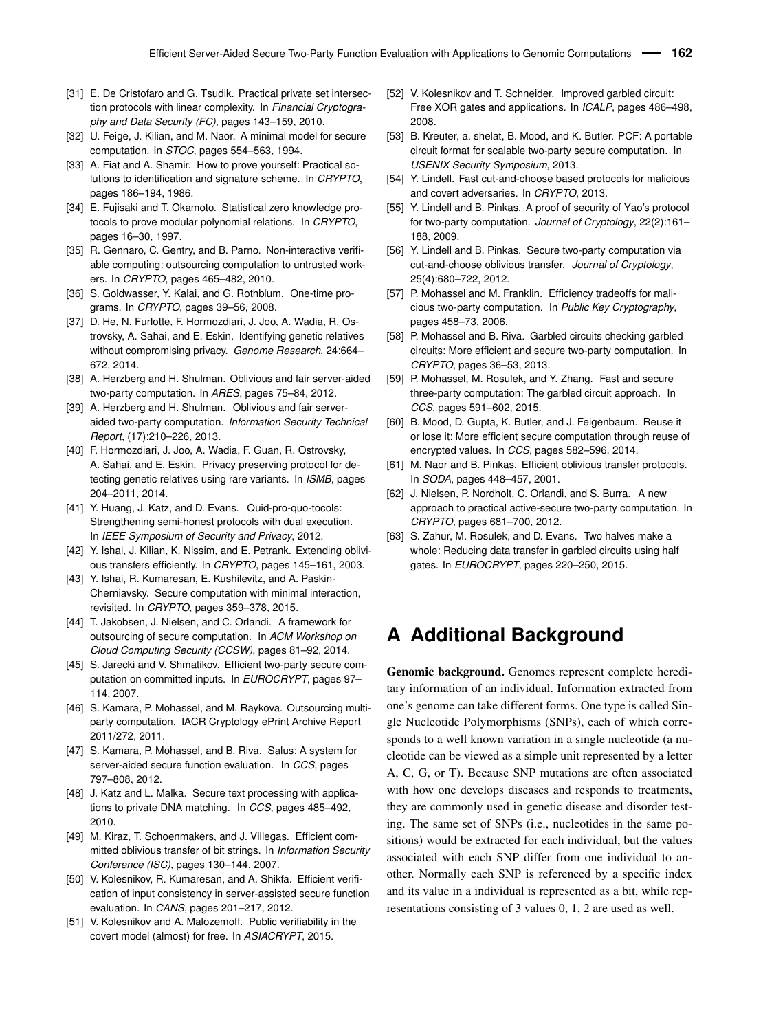- <span id="page-18-0"></span>[31] E. De Cristofaro and G. Tsudik. Practical private set intersection protocols with linear complexity. In *Financial Cryptography and Data Security (FC)*, pages 143–159, 2010.
- <span id="page-18-7"></span>[32] U. Feige, J. Kilian, and M. Naor. A minimal model for secure computation. In *STOC*, pages 554–563, 1994.
- <span id="page-18-31"></span>[33] A. Fiat and A. Shamir. How to prove yourself: Practical solutions to identification and signature scheme. In *CRYPTO*, pages 186–194, 1986.
- <span id="page-18-25"></span>[34] E. Fujisaki and T. Okamoto. Statistical zero knowledge protocols to prove modular polynomial relations. In *CRYPTO*, pages 16–30, 1997.
- <span id="page-18-16"></span>[35] R. Gennaro, C. Gentry, and B. Parno. Non-interactive verifiable computing: outsourcing computation to untrusted workers. In *CRYPTO*, pages 465–482, 2010.
- <span id="page-18-15"></span>[36] S. Goldwasser, Y. Kalai, and G. Rothblum. One-time programs. In *CRYPTO*, pages 39–56, 2008.
- <span id="page-18-11"></span>[37] D. He, N. Furlotte, F. Hormozdiari, J. Joo, A. Wadia, R. Ostrovsky, A. Sahai, and E. Eskin. Identifying genetic relatives without compromising privacy. *Genome Research*, 24:664– 672, 2014.
- <span id="page-18-1"></span>[38] A. Herzberg and H. Shulman. Oblivious and fair server-aided two-party computation. In *ARES*, pages 75–84, 2012.
- <span id="page-18-3"></span>[39] A. Herzberg and H. Shulman. Oblivious and fair serveraided two-party computation. *Information Security Technical Report*, (17):210–226, 2013.
- <span id="page-18-12"></span>[40] F. Hormozdiari, J. Joo, A. Wadia, F. Guan, R. Ostrovsky, A. Sahai, and E. Eskin. Privacy preserving protocol for detecting genetic relatives using rare variants. In *ISMB*, pages 204–2011, 2014.
- <span id="page-18-21"></span>[41] Y. Huang, J. Katz, and D. Evans. Quid-pro-quo-tocols: Strengthening semi-honest protocols with dual execution. In *IEEE Symposium of Security and Privacy*, 2012.
- <span id="page-18-17"></span>[42] Y. Ishai, J. Kilian, K. Nissim, and E. Petrank. Extending oblivious transfers efficiently. In *CRYPTO*, pages 145–161, 2003.
- <span id="page-18-8"></span>[43] Y. Ishai, R. Kumaresan, E. Kushilevitz, and A. Paskin-Cherniavsky. Secure computation with minimal interaction, revisited. In *CRYPTO*, pages 359–378, 2015.
- <span id="page-18-10"></span>[44] T. Jakobsen, J. Nielsen, and C. Orlandi. A framework for outsourcing of secure computation. In *ACM Workshop on Cloud Computing Security (CCSW)*, pages 81–92, 2014.
- <span id="page-18-23"></span>[45] S. Jarecki and V. Shmatikov. Efficient two-party secure computation on committed inputs. In *EUROCRYPT*, pages 97– 114, 2007.
- <span id="page-18-4"></span>[46] S. Kamara, P. Mohassel, and M. Raykova. Outsourcing multiparty computation. IACR Cryptology ePrint Archive Report 2011/272, 2011.
- <span id="page-18-2"></span>[47] S. Kamara, P. Mohassel, and B. Riva. Salus: A system for server-aided secure function evaluation. In *CCS*, pages 797–808, 2012.
- <span id="page-18-13"></span>[48] J. Katz and L. Malka. Secure text processing with applications to private DNA matching. In *CCS*, pages 485–492, 2010.
- <span id="page-18-24"></span>[49] M. Kiraz, T. Schoenmakers, and J. Villegas. Efficient committed oblivious transfer of bit strings. In *Information Security Conference (ISC)*, pages 130–144, 2007.
- <span id="page-18-6"></span>[50] V. Kolesnikov, R. Kumaresan, and A. Shikfa. Efficient verification of input consistency in server-assisted secure function evaluation. In *CANS*, pages 201–217, 2012.
- <span id="page-18-26"></span>[51] V. Kolesnikov and A. Malozemoff. Public verifiability in the covert model (almost) for free. In *ASIACRYPT*, 2015.
- <span id="page-18-20"></span>[52] V. Kolesnikov and T. Schneider. Improved garbled circuit: Free XOR gates and applications. In *ICALP*, pages 486–498, 2008.
- <span id="page-18-32"></span>[53] B. Kreuter, a. shelat, B. Mood, and K. Butler. PCF: A portable circuit format for scalable two-party secure computation. In *USENIX Security Symposium*, 2013.
- <span id="page-18-30"></span>[54] Y. Lindell. Fast cut-and-choose based protocols for malicious and covert adversaries. In *CRYPTO*, 2013.
- <span id="page-18-33"></span>[55] Y. Lindell and B. Pinkas. A proof of security of Yao's protocol for two-party computation. *Journal of Cryptology*, 22(2):161– 188, 2009.
- <span id="page-18-28"></span>[56] Y. Lindell and B. Pinkas. Secure two-party computation via cut-and-choose oblivious transfer. *Journal of Cryptology*, 25(4):680–722, 2012.
- <span id="page-18-22"></span>[57] P. Mohassel and M. Franklin. Efficiency tradeoffs for malicious two-party computation. In *Public Key Cryptography*, pages 458–73, 2006.
- <span id="page-18-29"></span>[58] P. Mohassel and B. Riva. Garbled circuits checking garbled circuits: More efficient and secure two-party computation. In *CRYPTO*, pages 36–53, 2013.
- <span id="page-18-9"></span>[59] P. Mohassel, M. Rosulek, and Y. Zhang. Fast and secure three-party computation: The garbled circuit approach. In *CCS*, pages 591–602, 2015.
- <span id="page-18-5"></span>[60] B. Mood, D. Gupta, K. Butler, and J. Feigenbaum. Reuse it or lose it: More efficient secure computation through reuse of encrypted values. In *CCS*, pages 582–596, 2014.
- <span id="page-18-18"></span>[61] M. Naor and B. Pinkas. Efficient oblivious transfer protocols. In *SODA*, pages 448–457, 2001.
- <span id="page-18-19"></span>[62] J. Nielsen, P. Nordholt, C. Orlandi, and S. Burra. A new approach to practical active-secure two-party computation. In *CRYPTO*, pages 681–700, 2012.
- <span id="page-18-27"></span>[63] S. Zahur, M. Rosulek, and D. Evans. Two halves make a whole: Reducing data transfer in garbled circuits using half gates. In *EUROCRYPT*, pages 220–250, 2015.

# <span id="page-18-14"></span>**A Additional Background**

Genomic background. Genomes represent complete hereditary information of an individual. Information extracted from one's genome can take different forms. One type is called Single Nucleotide Polymorphisms (SNPs), each of which corresponds to a well known variation in a single nucleotide (a nucleotide can be viewed as a simple unit represented by a letter A, C, G, or T). Because SNP mutations are often associated with how one develops diseases and responds to treatments, they are commonly used in genetic disease and disorder testing. The same set of SNPs (i.e., nucleotides in the same positions) would be extracted for each individual, but the values associated with each SNP differ from one individual to another. Normally each SNP is referenced by a specific index and its value in a individual is represented as a bit, while representations consisting of 3 values 0, 1, 2 are used as well.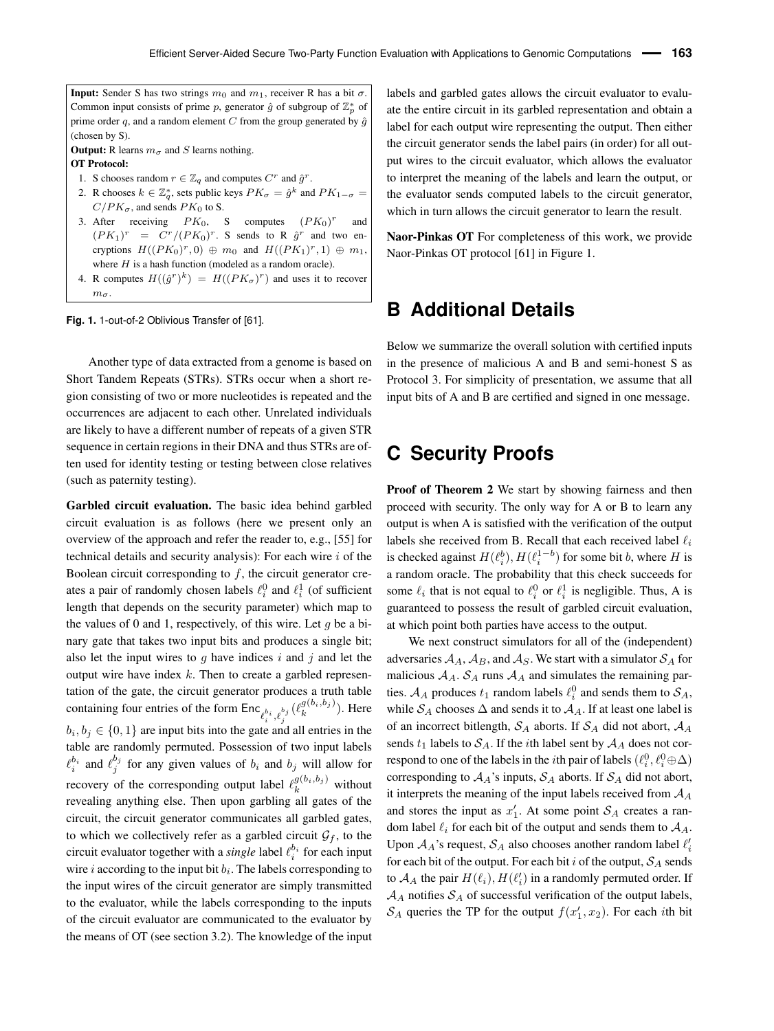<span id="page-19-0"></span>**Input:** Sender S has two strings  $m_0$  and  $m_1$ , receiver R has a bit  $\sigma$ . Common input consists of prime *p*, generator  $\hat{g}$  of subgroup of  $\mathbb{Z}_p^*$  of prime order  $q$ , and a random element  $C$  from the group generated by  $\hat{g}$ (chosen by S).

**Output:** R learns  $m_{\sigma}$  and *S* learns nothing.

#### OT Protocol:

- 1. S chooses random  $r \in \mathbb{Z}_q$  and computes  $C^r$  and  $\hat{g}^r$ .
- 2. R chooses  $k \in \mathbb{Z}_q^*$ , sets public keys  $PK_{\sigma} = \hat{g}^k$  and  $PK_{1-\sigma} =$  $C/PK_{\sigma}$ , and sends  $PK_0$  to S.
- 3. After receiving  $PK_0$ , S computes  $(PK_0)^r$ and  $(PK_1)^r = C^r/(PK_0)^r$ . S sends to R  $\hat{g}^r$  and two encryptions  $H((PK_0)^r, 0) \oplus m_0$  and  $H((PK_1)^r, 1) \oplus m_1$ , where *H* is a hash function (modeled as a random oracle).
- 4. R computes  $H((\hat{g}^r)^k) = H((PK_{\sigma})^r)$  and uses it to recover  $m_{\sigma}$

**Fig. 1.** 1-out-of-2 Oblivious Transfer of [\[61\]](#page-18-18).

Another type of data extracted from a genome is based on Short Tandem Repeats (STRs). STRs occur when a short region consisting of two or more nucleotides is repeated and the occurrences are adjacent to each other. Unrelated individuals are likely to have a different number of repeats of a given STR sequence in certain regions in their DNA and thus STRs are often used for identity testing or testing between close relatives (such as paternity testing).

Garbled circuit evaluation. The basic idea behind garbled circuit evaluation is as follows (here we present only an overview of the approach and refer the reader to, e.g., [\[55\]](#page-18-33) for technical details and security analysis): For each wire *i* of the Boolean circuit corresponding to *f*, the circuit generator creates a pair of randomly chosen labels  $\ell_i^0$  and  $\ell_i^1$  (of sufficient length that depends on the security parameter) which map to the values of 0 and 1, respectively, of this wire. Let *g* be a binary gate that takes two input bits and produces a single bit; also let the input wires to *g* have indices *i* and *j* and let the output wire have index *k*. Then to create a garbled representation of the gate, the circuit generator produces a truth table containing four entries of the form  $Enc_{\ell_i^{b_i}, \ell_j^{b_j}}(\ell_k^{g(b_i, b_j)})$ . Here  $b_i, b_j \in \{0, 1\}$  are input bits into the gate and all entries in the table are randomly permuted. Possession of two input labels  $\ell_i^{b_i}$  and  $\ell_j^{b_j}$  for any given values of  $b_i$  and  $b_j$  will allow for recovery of the corresponding output label  $\ell_k^{g(b_i, b_j)}$  without revealing anything else. Then upon garbling all gates of the circuit, the circuit generator communicates all garbled gates, to which we collectively refer as a garbled circuit  $\mathcal{G}_f$ , to the circuit evaluator together with a *single* label  $\ell_i^{b_i}$  for each input wire  $i$  according to the input bit  $b_i$ . The labels corresponding to the input wires of the circuit generator are simply transmitted to the evaluator, while the labels corresponding to the inputs of the circuit evaluator are communicated to the evaluator by the means of OT (see section [3.2\)](#page-5-0). The knowledge of the input

labels and garbled gates allows the circuit evaluator to evaluate the entire circuit in its garbled representation and obtain a label for each output wire representing the output. Then either the circuit generator sends the label pairs (in order) for all output wires to the circuit evaluator, which allows the evaluator to interpret the meaning of the labels and learn the output, or the evaluator sends computed labels to the circuit generator, which in turn allows the circuit generator to learn the result.

Naor-Pinkas OT For completeness of this work, we provide Naor-Pinkas OT protocol [\[61\]](#page-18-18) in Figure [1.](#page-19-0)

## <span id="page-19-2"></span>**B Additional Details**

Below we summarize the overall solution with certified inputs in the presence of malicious A and B and semi-honest S as Protocol 3. For simplicity of presentation, we assume that all input bits of A and B are certified and signed in one message.

## <span id="page-19-1"></span>**C Security Proofs**

Proof of Theorem [2](#page-9-1) We start by showing fairness and then proceed with security. The only way for A or B to learn any output is when A is satisfied with the verification of the output labels she received from B. Recall that each received label  $\ell_i$ is checked against  $H(\ell_i^b)$ ,  $H(\ell_i^{1-b})$  for some bit *b*, where *H* is a random oracle. The probability that this check succeeds for some  $\ell_i$  that is not equal to  $\ell_i^0$  or  $\ell_i^1$  is negligible. Thus, A is guaranteed to possess the result of garbled circuit evaluation, at which point both parties have access to the output.

We next construct simulators for all of the (independent) adversaries  $A_A$ ,  $A_B$ , and  $A_S$ . We start with a simulator  $S_A$  for malicious  $A_A$ .  $S_A$  runs  $A_A$  and simulates the remaining parties.  $A_A$  produces  $t_1$  random labels  $\ell_i^0$  and sends them to  $S_A$ , while  $S_A$  chooses  $\Delta$  and sends it to  $A_A$ . If at least one label is of an incorrect bitlength,  $S_A$  aborts. If  $S_A$  did not abort,  $A_A$ sends  $t_1$  labels to  $S_A$ . If the *i*th label sent by  $A_A$  does not correspond to one of the labels in the *i*th pair of labels  $(\ell^0_i, \ell^0_i \oplus \Delta)$ corresponding to  $A_A$ 's inputs,  $S_A$  aborts. If  $S_A$  did not abort, it interprets the meaning of the input labels received from A*<sup>A</sup>* and stores the input as  $x'_1$ . At some point  $S_A$  creates a random label  $\ell_i$  for each bit of the output and sends them to  $A_A$ . Upon  $A_A$ 's request,  $S_A$  also chooses another random label  $\ell'_i$ for each bit of the output. For each bit *i* of the output,  $S_A$  sends to  $A_A$  the pair  $H(\ell_i)$ ,  $H(\ell'_i)$  in a randomly permuted order. If  $A_A$  notifies  $S_A$  of successful verification of the output labels,  $S_A$  queries the TP for the output  $f(x_1, x_2)$ . For each *i*th bit